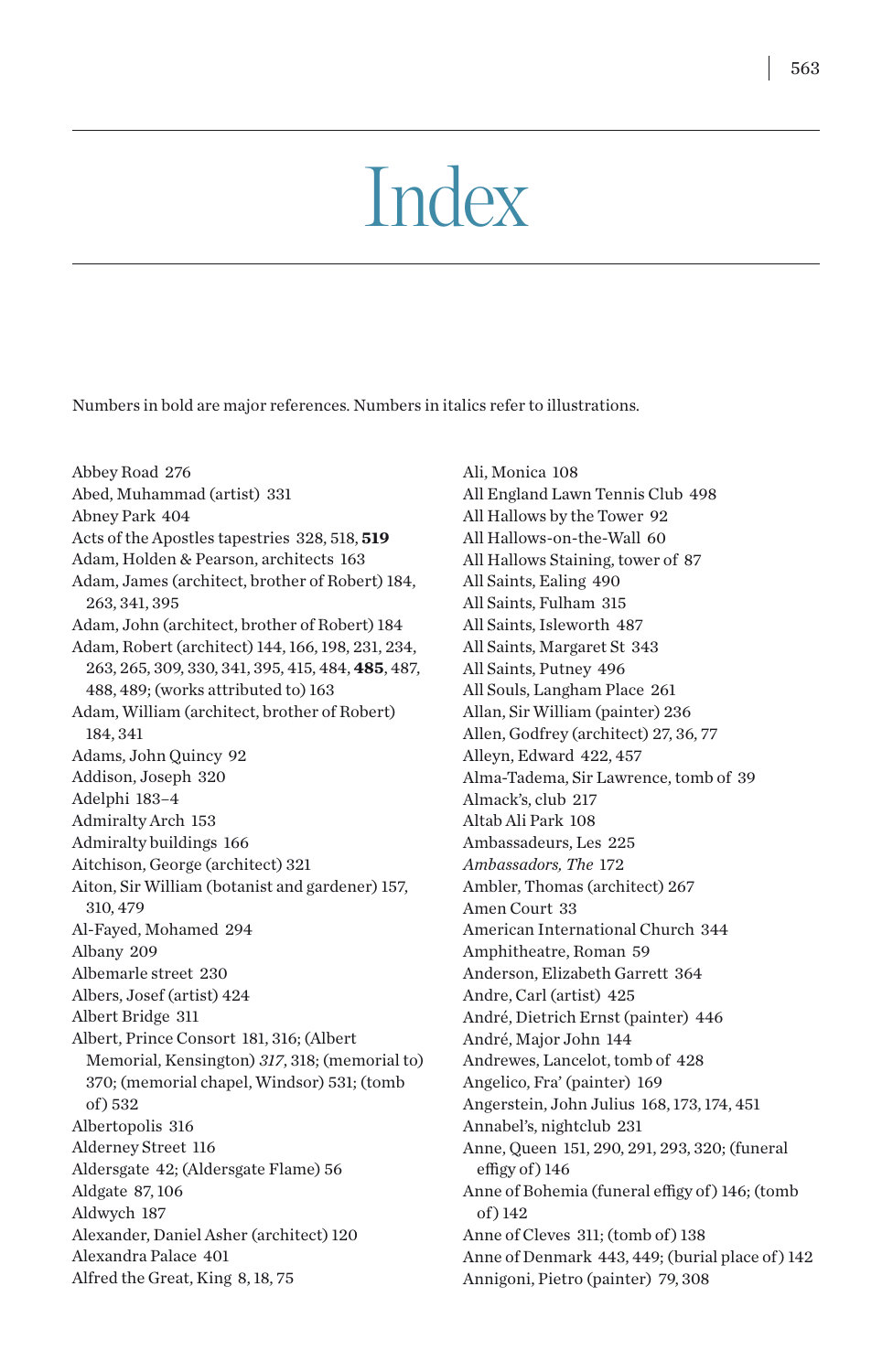## Index

Numbers in bold are major references. Numbers in italics refer to illustrations.

Abbey Road 276 Abed, Muhammad (artist) 331 Abney Park 404 Acts of the Apostles tapestries 328, 518, **519** Adam, Holden & Pearson, architects 163 Adam, James (architect, brother of Robert) 184, 263, 341, 395 Adam, John (architect, brother of Robert) 184 Adam, Robert (architect) 144, 166, 198, 231, 234, 263, 265, 309, 330, 341, 395, 415, 484, **485**, 487, 488, 489; (works attributed to) 163 Adam, William (architect, brother of Robert) 184, 341 Adams, John Quincy 92 Addison, Joseph 320 Adelphi 183–4 Admiralty Arch 153 Admiralty buildings 166 Aitchison, George (architect) 321 Aiton, Sir William (botanist and gardener) 157, 310, 479 Al-Fayed, Mohamed 294 Albany 209 Albemarle street 230 Albers, Josef (artist) 424 Albert Bridge 311 Albert, Prince Consort 181, 316; (Albert Memorial, Kensington) *317*, 318; (memorial to) 370; (memorial chapel, Windsor) 531; (tomb of ) 532 Albertopolis 316 Alderney Street 116 Aldersgate 42; (Aldersgate Flame) 56 Aldgate 87, 106 Aldwych 187 Alexander, Daniel Asher (architect) 120 Alexandra Palace 401 Alfred the Great, King 8, 18, 75

Ali, Monica 108 All England Lawn Tennis Club 498 All Hallows by the Tower 92 All Hallows-on-the-Wall 60 All Hallows Staining, tower of 87 All Saints, Ealing 490 All Saints, Fulham 315 All Saints, Isleworth 487 All Saints, Margaret St 343 All Saints, Putney 496 All Souls, Langham Place 261 Allan, Sir William (painter) 236 Allen, Godfrey (architect) 27, 36, 77 Alleyn, Edward 422, 457 Alma-Tadema, Sir Lawrence, tomb of 39 Almack's, club 217 Altab Ali Park 108 Ambassadeurs, Les 225 *Ambassadors, The* 172 Ambler, Thomas (architect) 267 Amen Court 33 American International Church 344 Amphitheatre, Roman 59 Anderson, Elizabeth Garrett 364 Andre, Carl (artist) 425 André, Dietrich Ernst (painter) 446 André, Major John 144 Andrewes, Lancelot, tomb of 428 Angelico, Fra' (painter) 169 Angerstein, John Julius 168, 173, 174, 451 Annabel's, nightclub 231 Anne, Queen 151, 290, 291, 293, 320; (funeral effigy of ) 146 Anne of Bohemia (funeral effigy of ) 146; (tomb of ) 142 Anne of Cleves 311; (tomb of) 138 Anne of Denmark 443, 449; (burial place of) 142 Annigoni, Pietro (painter) 79, 308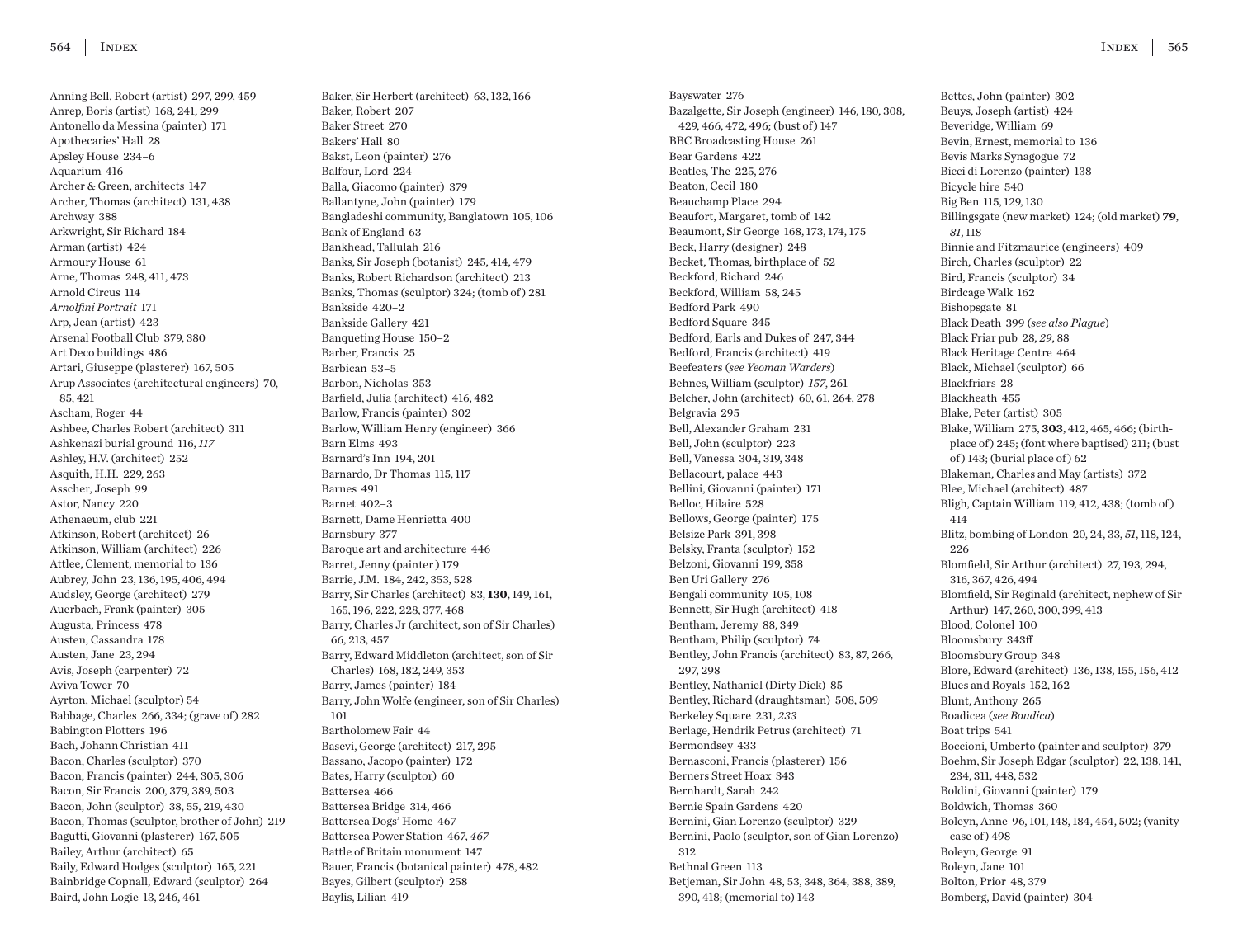Anning Bell, Robert (artist) 297, 299, 459 Anrep, Boris (artist) 168, 241, 299 Antonello da Messina (painter) 171 Apothecaries' Hall 28 Apsley House 234–6 Aquarium 416 Archer & Green, architects 147 Archer, Thomas (architect) 131, 438 Archway 388 Arkwright, Sir Richard 184 Arman (artist) 424 Armoury House 61 Arne, Thomas 248, 411, 473 Arnold Circus 114 *Arnolfini Portrait* 171 Arp, Jean (artist) 423 Arsenal Football Club 379, 380 Art Deco buildings 486 Artari, Giuseppe (plasterer) 167, 505 Arup Associates (architectural engineers) 70, 85, 421 Ascham, Roger 44 Ashbee, Charles Robert (architect) 311 Ashkenazi burial ground 116, *117* Ashley, H.V. (architect) 252 Asquith, H.H. 229, 263 Asscher, Joseph 99 Astor, Nancy 220 Athenaeum, club 221 Atkinson, Robert (architect) 26 Atkinson, William (architect) 226 Attlee, Clement, memorial to 136 Aubrey, John 23, 136, 195, 406, 494 Audsley, George (architect) 279 Auerbach, Frank (painter) 305 Augusta, Princess 478 Austen, Cassandra 178 Austen, Jane 23, 294 Avis, Joseph (carpenter) 72 Aviva Tower 70 Ayrton, Michael (sculptor) 54 Babbage, Charles 266, 334; (grave of ) 282 Babington Plotters 196 Bach, Johann Christian 411 Bacon, Charles (sculptor) 370 Bacon, Francis (painter) 244, 305, 306 Bacon, Sir Francis 200, 379, 389, 503 Bacon, John (sculptor) 38, 55, 219, 430 Bacon, Thomas (sculptor, brother of John) 219 Bagutti, Giovanni (plasterer) 167, 505 Bailey, Arthur (architect) 65 Baily, Edward Hodges (sculptor) 165, 221 Bainbridge Copnall, Edward (sculptor) 264 Baird, John Logie 13, 246, 461

Baker, Sir Herbert (architect) 63, 132, 166 Baker, Robert 207 Baker Street 270 Bakers' Hall 80 Bakst, Leon (painter) 276 Balfour, Lord 224 Balla, Giacomo (painter) 379 Ballantyne, John (painter) 179 Bangladeshi community, Banglatown 105, 106 Bank of England 63 Bankhead, Tallulah 216 Banks, Sir Joseph (botanist) 245, 414, 479 Banks, Robert Richardson (architect) 213 Banks, Thomas (sculptor) 324; (tomb of ) 281 Bankside 420–2 Bankside Gallery 421 Banqueting House 150–2 Barber, Francis 25 Barbican 53–5 Barbon, Nicholas 353 Barfield, Julia (architect) 416, 482 Barlow, Francis (painter) 302 Barlow, William Henry (engineer) 366 Barn Elms 493 Barnard's Inn 194, 201 Barnardo, Dr Thomas 115, 117 Barnes 491 Barnet 402–3 Barnett, Dame Henrietta 400 Barnsbury 377 Baroque art and architecture 446 Barret, Jenny (painter ) 179 Barrie, J.M. 184, 242, 353, 528 Barry, Sir Charles (architect) 83, **130**, 149, 161, 165, 196, 222, 228, 377, 468 Barry, Charles Jr (architect, son of Sir Charles) 66, 213, 457 Barry, Edward Middleton (architect, son of Sir Charles) 168, 182, 249, 353 Barry, James (painter) 184 Barry, John Wolfe (engineer, son of Sir Charles) 101 Bartholomew Fair 44 Basevi, George (architect) 217, 295 Bassano, Jacopo (painter) 172 Bates, Harry (sculptor) 60 Battersea 466 Battersea Bridge 314, 466 Battersea Dogs' Home 467 Battersea Power Station 467, *467* Battle of Britain monument 147 Bauer, Francis (botanical painter) 478, 482 Bayes, Gilbert (sculptor) 258 Baylis, Lilian 419

Bayswater 276 Bazalgette, Sir Joseph (engineer) 146, 180, 308, 429, 466, 472, 496; (bust of ) 147 BBC Broadcasting House 261 Bear Gardens 422 Beatles, The 225, 276 Beaton, Cecil 180 Beauchamp Place 294 Beaufort, Margaret, tomb of 142 Beaumont, Sir George 168, 173, 174, 175 Beck, Harry (designer) 248 Becket, Thomas, birthplace of 52 Beckford, Richard 246 Beckford, William 58, 245 Bedford Park 490 Bedford Square 345 Bedford, Earls and Dukes of 247, 344 Bedford, Francis (architect) 419 Beefeaters (*see Yeoman Warders*) Behnes, William (sculptor) *157*, 261 Belcher, John (architect) 60, 61, 264, 278 Belgravia 295 Bell, Alexander Graham 231 Bell, John (sculptor) 223 Bell, Vanessa 304, 319, 348 Bellacourt, palace 443 Bellini, Giovanni (painter) 171 Belloc, Hilaire 528 Bellows, George (painter) 175 Belsize Park 391, 398 Belsky, Franta (sculptor) 152 Belzoni, Giovanni 199, 358 Ben Uri Gallery 276 Bengali community 105, 108 Bennett, Sir Hugh (architect) 418 Bentham, Jeremy 88, 349 Bentham, Philip (sculptor) 74 Bentley, John Francis (architect) 83, 87, 266, 297, 298 Bentley, Nathaniel (Dirty Dick) 85 Bentley, Richard (draughtsman) 508, 509 Berkeley Square 231, *233* Berlage, Hendrik Petrus (architect) 71 Bermondsey 433 Bernasconi, Francis (plasterer) 156 Berners Street Hoax 343 Bernhardt, Sarah 242 Bernie Spain Gardens 420 Bernini, Gian Lorenzo (sculptor) 329 Bernini, Paolo (sculptor, son of Gian Lorenzo) 312 Bethnal Green 113 Betjeman, Sir John 48, 53, 348, 364, 388, 389, 390, 418; (memorial to) 143

Bettes, John (painter) 302 Beuys, Joseph (artist) 424 Beveridge, William 69 Bevin, Ernest, memorial to 136 Bevis Marks Synagogue 72 Bicci di Lorenzo (painter) 138 Bicycle hire 540 Big Ben 115, 129, 130 Billingsgate (new market) 124; (old market) **79**, *81*, 118 Binnie and Fitzmaurice (engineers) 409 Birch, Charles (sculptor) 22 Bird, Francis (sculptor) 34 Birdcage Walk 162 Bishopsgate 81 Black Death 399 (*see also Plague*) Black Friar pub 28, *29*, 88 Black Heritage Centre 464 Black, Michael (sculptor) 66 Blackfriars 28 Blackheath 455 Blake, Peter (artist) 305 Blake, William 275, **303**, 412, 465, 466; (birthplace of ) 245; (font where baptised) 211; (bust of) 143; (burial place of) 62 Blakeman, Charles and May (artists) 372 Blee, Michael (architect) 487 Bligh, Captain William 119, 412, 438; (tomb of ) 414 Blitz, bombing of London 20, 24, 33, *51*, 118, 124, 226 Blomfield, Sir Arthur (architect) 27, 193, 294, 316, 367, 426, 494 Blomfield, Sir Reginald (architect, nephew of Sir Arthur) 147, 260, 300, 399, 413 Blood, Colonel 100 Bloomsbury 343ff Bloomsbury Group 348 Blore, Edward (architect) 136, 138, 155, 156, 412 Blues and Royals 152, 162 Blunt, Anthony 265 Boadicea (*see Boudica*) Boat trips 541 Boccioni, Umberto (painter and sculptor) 379 Boehm, Sir Joseph Edgar (sculptor) 22, 138, 141, 234, 311, 448, 532 Boldini, Giovanni (painter) 179 Boldwich, Thomas 360 Boleyn, Anne 96, 101, 148, 184, 454, 502; (vanity case of  $) 498$ Boleyn, George 91 Boleyn, Jane 101 Bolton, Prior 48, 379 Bomberg, David (painter) 304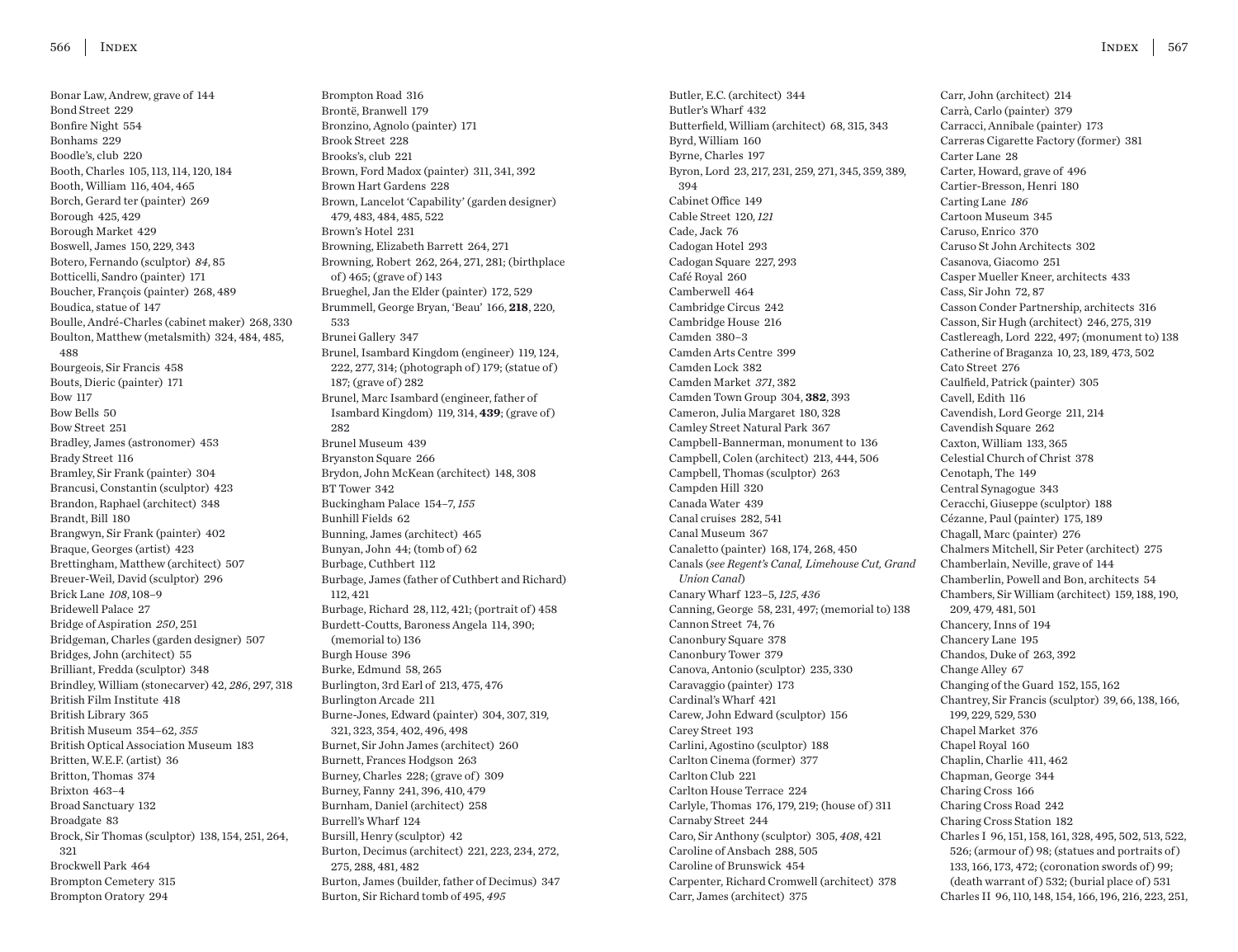Bonar Law, Andrew, grave of 144 Bond Street 229 Bonfire Night 554 Bonhams 229 Boodle's, club 220 Booth, Charles 105, 113, 114, 120, 184 Booth, William 116, 404, 465 Borch, Gerard ter (painter) 269 Borough 425, 429 Borough Market 429 Boswell, James 150, 229, 343 Botero, Fernando (sculptor) *84*, 85 Botticelli, Sandro (painter) 171 Boucher, François (painter) 268, 489 Boudica, statue of 147 Boulle, André-Charles (cabinet maker) 268, 330 Boulton, Matthew (metalsmith) 324, 484, 485, 488 Bourgeois, Sir Francis 458 Bouts, Dieric (painter) 171 Bow 117 Bow Bells 50 Bow Street 251 Bradley, James (astronomer) 453 Brady Street 116 Bramley, Sir Frank (painter) 304 Brancusi, Constantin (sculptor) 423 Brandon, Raphael (architect) 348 Brandt, Bill 180 Brangwyn, Sir Frank (painter) 402 Braque, Georges (artist) 423 Brettingham, Matthew (architect) 507 Breuer-Weil, David (sculptor) 296 Brick Lane *108*, 108–9 Bridewell Palace 27 Bridge of Aspiration *250*, 251 Bridgeman, Charles (garden designer) 507 Bridges, John (architect) 55 Brilliant, Fredda (sculptor) 348 Brindley, William (stonecarver) 42, *286*, 297, 318 British Film Institute 418 British Library 365 British Museum 354–62, *355* British Optical Association Museum 183 Britten, W.E.F. (artist) 36 Britton, Thomas 374 Brixton 463–4 Broad Sanctuary 132 Broadgate 83 Brock, Sir Thomas (sculptor) 138, 154, 251, 264, 321 Brockwell Park 464 Brompton Cemetery 315 Brompton Oratory 294

Brompton Road 316 Brontë, Branwell 179 Bronzino, Agnolo (painter) 171 Brook Street 228 Brooks's, club 221 Brown, Ford Madox (painter) 311, 341, 392 Brown Hart Gardens 228 Brown, Lancelot 'Capability' (garden designer) 479, 483, 484, 485, 522 Brown's Hotel 231 Browning, Elizabeth Barrett 264, 271 Browning, Robert 262, 264, 271, 281; (birthplace of ) 465; (grave of ) 143 Brueghel, Jan the Elder (painter) 172, 529 Brummell, George Bryan, 'Beau' 166, **218**, 220, 533 Brunei Gallery 347 Brunel, Isambard Kingdom (engineer) 119, 124, 222, 277, 314; (photograph of ) 179; (statue of ) 187; (grave of) 282 Brunel, Marc Isambard (engineer, father of Isambard Kingdom) 119, 314, **439**; (grave of ) 282 Brunel Museum 439 Bryanston Square 266 Brydon, John McKean (architect) 148, 308 BT Tower 342 Buckingham Palace 154–7, *155* Bunhill Fields 62 Bunning, James (architect) 465 Bunyan, John 44; (tomb of ) 62 Burbage, Cuthbert 112 Burbage, James (father of Cuthbert and Richard) 112, 421 Burbage, Richard 28, 112, 421; (portrait of ) 458 Burdett-Coutts, Baroness Angela 114, 390; (memorial to) 136 Burgh House 396 Burke, Edmund 58, 265 Burlington, 3rd Earl of 213, 475, 476 Burlington Arcade 211 Burne-Jones, Edward (painter) 304, 307, 319, 321, 323, 354, 402, 496, 498 Burnet, Sir John James (architect) 260 Burnett, Frances Hodgson 263 Burney, Charles 228; (grave of) 309 Burney, Fanny 241, 396, 410, 479 Burnham, Daniel (architect) 258 Burrell's Wharf 124 Bursill, Henry (sculptor) 42 Burton, Decimus (architect) 221, 223, 234, 272, 275, 288, 481, 482 Burton, James (builder, father of Decimus) 347 Burton, Sir Richard tomb of 495, *495*

Butler, E.C. (architect) 344 Butler's Wharf 432 Butterfield, William (architect) 68, 315, 343 Byrd, William 160 Byrne, Charles 197 Byron, Lord 23, 217, 231, 259, 271, 345, 359, 389, 394 Cabinet Office 149 Cable Street 120, *121* Cade, Jack 76 Cadogan Hotel 293 Cadogan Square 227, 293 Café Royal 260 Camberwell 464 Cambridge Circus 242 Cambridge House 216 Camden 380–3 Camden Arts Centre 399 Camden Lock 382 Camden Market *371*, 382 Camden Town Group 304, **382**, 393 Cameron, Julia Margaret 180, 328 Camley Street Natural Park 367 Campbell-Bannerman, monument to 136 Campbell, Colen (architect) 213, 444, 506 Campbell, Thomas (sculptor) 263 Campden Hill 320 Canada Water 439 Canal cruises 282, 541 Canal Museum 367 Canaletto (painter) 168, 174, 268, 450 Canals (*see Regent's Canal, Limehouse Cut, Grand Union Canal*) Canary Wharf 123–5, *125*, *436* Canning, George 58, 231, 497; (memorial to) 138 Cannon Street 74, 76 Canonbury Square 378 Canonbury Tower 379 Canova, Antonio (sculptor) 235, 330 Caravaggio (painter) 173 Cardinal's Wharf 421 Carew, John Edward (sculptor) 156 Carey Street 193 Carlini, Agostino (sculptor) 188 Carlton Cinema (former) 377 Carlton Club 221 Carlton House Terrace 224 Carlyle, Thomas 176, 179, 219; (house of ) 311 Carnaby Street 244 Caro, Sir Anthony (sculptor) 305, *408*, 421 Caroline of Ansbach 288, 505 Caroline of Brunswick 454 Carpenter, Richard Cromwell (architect) 378 Carr, James (architect) 375

Carr, John (architect) 214 Carrà, Carlo (painter) 379 Carracci, Annibale (painter) 173 Carreras Cigarette Factory (former) 381 Carter Lane 28 Carter, Howard, grave of 496 Cartier-Bresson, Henri 180 Carting Lane *186* Cartoon Museum 345 Caruso, Enrico 370 Caruso St John Architects 302 Casanova, Giacomo 251 Casper Mueller Kneer, architects 433 Cass, Sir John 72, 87 Casson Conder Partnership, architects 316 Casson, Sir Hugh (architect) 246, 275, 319 Castlereagh, Lord 222, 497; (monument to) 138 Catherine of Braganza 10, 23, 189, 473, 502 Cato Street 276 Caulfield, Patrick (painter) 305 Cavell, Edith 116 Cavendish, Lord George 211, 214 Cavendish Square 262 Caxton, William 133, 365 Celestial Church of Christ 378 Cenotaph, The 149 Central Synagogue 343 Ceracchi, Giuseppe (sculptor) 188 Cézanne, Paul (painter) 175, 189 Chagall, Marc (painter) 276 Chalmers Mitchell, Sir Peter (architect) 275 Chamberlain, Neville, grave of 144 Chamberlin, Powell and Bon, architects 54 Chambers, Sir William (architect) 159, 188, 190, 209, 479, 481, 501 Chancery, Inns of 194 Chancery Lane 195 Chandos, Duke of 263, 392 Change Alley 67 Changing of the Guard 152, 155, 162 Chantrey, Sir Francis (sculptor) 39, 66, 138, 166, 199, 229, 529, 530 Chapel Market 376 Chapel Royal 160 Chaplin, Charlie 411, 462 Chapman, George 344 Charing Cross 166 Charing Cross Road 242 Charing Cross Station 182 Charles I 96, 151, 158, 161, 328, 495, 502, 513, 522, 526; (armour of ) 98; (statues and portraits of ) 133, 166, 173, 472; (coronation swords of ) 99; (death warrant of ) 532; (burial place of ) 531 Charles II 96, 110, 148, 154, 166, 196, 216, 223, 251,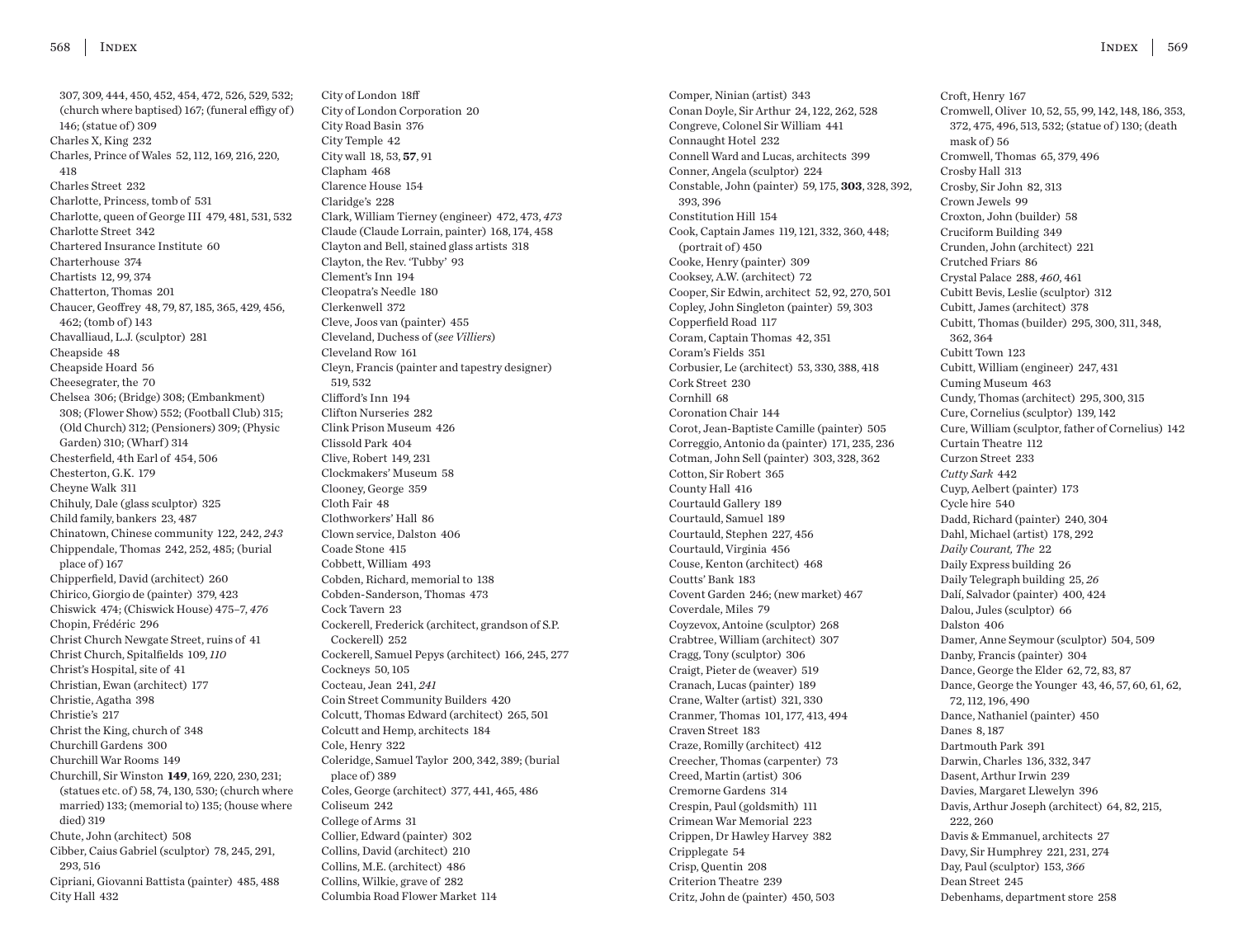307, 309, 444, 450, 452, 454, 472, 526, 529, 532; (church where baptised) 167; (funeral effigy of ) 146; (statue of ) 309 Charles X, King 232 Charles, Prince of Wales 52, 112, 169, 216, 220, 418 Charles Street 232 Charlotte, Princess, tomb of 531 Charlotte, queen of George III 479, 481, 531, 532 Charlotte Street 342 Chartered Insurance Institute 60 Charterhouse 374 Chartists 12, 99, 374 Chatterton, Thomas 201 Chaucer, Geoffrey 48, 79, 87, 185, 365, 429, 456, 462; (tomb of) 143 Chavalliaud, L.J. (sculptor) 281 Cheapside 48 Cheapside Hoard 56 Cheesegrater, the 70 Chelsea 306; (Bridge) 308; (Embankment) 308; (Flower Show) 552; (Football Club) 315; (Old Church) 312; (Pensioners) 309; (Physic Garden) 310: (Wharf) 314 Chesterfield, 4th Earl of 454, 506 Chesterton, G.K. 179 Cheyne Walk 311 Chihuly, Dale (glass sculptor) 325 Child family, bankers 23, 487 Chinatown, Chinese community 122, 242, *243* Chippendale, Thomas 242, 252, 485; (burial place of ) 167 Chipperfield, David (architect) 260 Chirico, Giorgio de (painter) 379, 423 Chiswick 474; (Chiswick House) 475–7, *476* Chopin, Frédéric 296 Christ Church Newgate Street, ruins of 41 Christ Church, Spitalfields 109, *110* Christ's Hospital, site of 41 Christian, Ewan (architect) 177 Christie, Agatha 398 Christie's 217 Christ the King, church of 348 Churchill Gardens 300 Churchill War Rooms 149 Churchill, Sir Winston **149**, 169, 220, 230, 231; (statues etc. of ) 58, 74, 130, 530; (church where married) 133; (memorial to) 135; (house where died) 319 Chute, John (architect) 508 Cibber, Caius Gabriel (sculptor) 78, 245, 291, 293, 516 Cipriani, Giovanni Battista (painter) 485, 488 City Hall 432

City of London 18ff City of London Corporation 20 City Road Basin 376 City Temple 42 City wall 18, 53, **57**, 91 Clapham 468 Clarence House 154 Claridge's 228 Clark, William Tierney (engineer) 472, 473, *473* Claude (Claude Lorrain, painter) 168, 174, 458 Clayton and Bell, stained glass artists 318 Clayton, the Rev. 'Tubby' 93 Clement's Inn 194 Cleopatra's Needle 180 Clerkenwell 372 Cleve, Joos van (painter) 455 Cleveland, Duchess of (*see Villiers*) Cleveland Row 161 Cleyn, Francis (painter and tapestry designer) 519, 532 Clifford's Inn 194 Clifton Nurseries 282 Clink Prison Museum 426 Clissold Park 404 Clive, Robert 149, 231 Clockmakers' Museum 58 Clooney, George 359 Cloth Fair 48 Clothworkers' Hall 86 Clown service, Dalston 406 Coade Stone 415 Cobbett, William 493 Cobden, Richard, memorial to 138 Cobden-Sanderson, Thomas 473 Cock Tavern 23 Cockerell, Frederick (architect, grandson of S.P. Cockerell) 252 Cockerell, Samuel Pepys (architect) 166, 245, 277 Cockneys 50, 105 Cocteau, Jean 241, *241* Coin Street Community Builders 420 Colcutt, Thomas Edward (architect) 265, 501 Colcutt and Hemp, architects 184 Cole, Henry 322 Coleridge, Samuel Taylor 200, 342, 389; (burial place of ) 389 Coles, George (architect) 377, 441, 465, 486 Coliseum 242 College of Arms 31 Collier, Edward (painter) 302 Collins, David (architect) 210 Collins, M.E. (architect) 486 Collins, Wilkie, grave of 282 Columbia Road Flower Market 114

Comper, Ninian (artist) 343 Conan Doyle, Sir Arthur 24, 122, 262, 528 Congreve, Colonel Sir William 441 Connaught Hotel 232 Connell Ward and Lucas, architects 399 Conner, Angela (sculptor) 224 Constable, John (painter) 59, 175, **303**, 328, 392, 393, 396 Constitution Hill 154 Cook, Captain James 119, 121, 332, 360, 448; (portrait of) 450 Cooke, Henry (painter) 309 Cooksey, A.W. (architect) 72 Cooper, Sir Edwin, architect 52, 92, 270, 501 Copley, John Singleton (painter) 59, 303 Copperfield Road 117 Coram, Captain Thomas 42, 351 Coram's Fields 351 Corbusier, Le (architect) 53, 330, 388, 418 Cork Street 230 Cornhill 68 Coronation Chair 144 Corot, Jean-Baptiste Camille (painter) 505 Correggio, Antonio da (painter) 171, 235, 236 Cotman, John Sell (painter) 303, 328, 362 Cotton, Sir Robert 365 County Hall 416 Courtauld Gallery 189 Courtauld, Samuel 189 Courtauld, Stephen 227, 456 Courtauld, Virginia 456 Couse, Kenton (architect) 468 Coutts' Bank 183 Covent Garden 246; (new market) 467 Coverdale, Miles 79 Coyzevox, Antoine (sculptor) 268 Crabtree, William (architect) 307 Cragg, Tony (sculptor) 306 Craigt, Pieter de (weaver) 519 Cranach, Lucas (painter) 189 Crane, Walter (artist) 321, 330 Cranmer, Thomas 101, 177, 413, 494 Craven Street 183 Craze, Romilly (architect) 412 Creecher, Thomas (carpenter) 73 Creed, Martin (artist) 306 Cremorne Gardens 314 Crespin, Paul (goldsmith) 111 Crimean War Memorial 223 Crippen, Dr Hawley Harvey 382 Cripplegate 54 Crisp, Quentin 208 Criterion Theatre 239 Critz, John de (painter) 450, 503

Croft, Henry 167 Cromwell, Oliver 10, 52, 55, 99, 142, 148, 186, 353, 372, 475, 496, 513, 532; (statue of ) 130; (death mask of  $\big)$  56 Cromwell, Thomas 65, 379, 496 Crosby Hall 313 Crosby, Sir John 82, 313 Crown Jewels 99 Croxton, John (builder) 58 Cruciform Building 349 Crunden, John (architect) 221 Crutched Friars 86 Crystal Palace 288, *460*, 461 Cubitt Bevis, Leslie (sculptor) 312 Cubitt, James (architect) 378 Cubitt, Thomas (builder) 295, 300, 311, 348, 362, 364 Cubitt Town 123 Cubitt, William (engineer) 247, 431 Cuming Museum 463 Cundy, Thomas (architect) 295, 300, 315 Cure, Cornelius (sculptor) 139, 142 Cure, William (sculptor, father of Cornelius) 142 Curtain Theatre 112 Curzon Street 233 *Cutty Sark* 442 Cuyp, Aelbert (painter) 173 Cycle hire 540 Dadd, Richard (painter) 240, 304 Dahl, Michael (artist) 178, 292 *Daily Courant, The* 22 Daily Express building 26 Daily Telegraph building 25, *26* Dalí, Salvador (painter) 400, 424 Dalou, Jules (sculptor) 66 Dalston 406 Damer, Anne Seymour (sculptor) 504, 509 Danby, Francis (painter) 304 Dance, George the Elder 62, 72, 83, 87 Dance, George the Younger 43, 46, 57, 60, 61, 62, 72, 112, 196, 490 Dance, Nathaniel (painter) 450 Danes 8, 187 Dartmouth Park 391 Darwin, Charles 136, 332, 347 Dasent, Arthur Irwin 239 Davies, Margaret Llewelyn 396 Davis, Arthur Joseph (architect) 64, 82, 215, 222, 260 Davis & Emmanuel, architects 27 Davy, Sir Humphrey 221, 231, 274 Day, Paul (sculptor) 153, *366* Dean Street 245 Debenhams, department store 258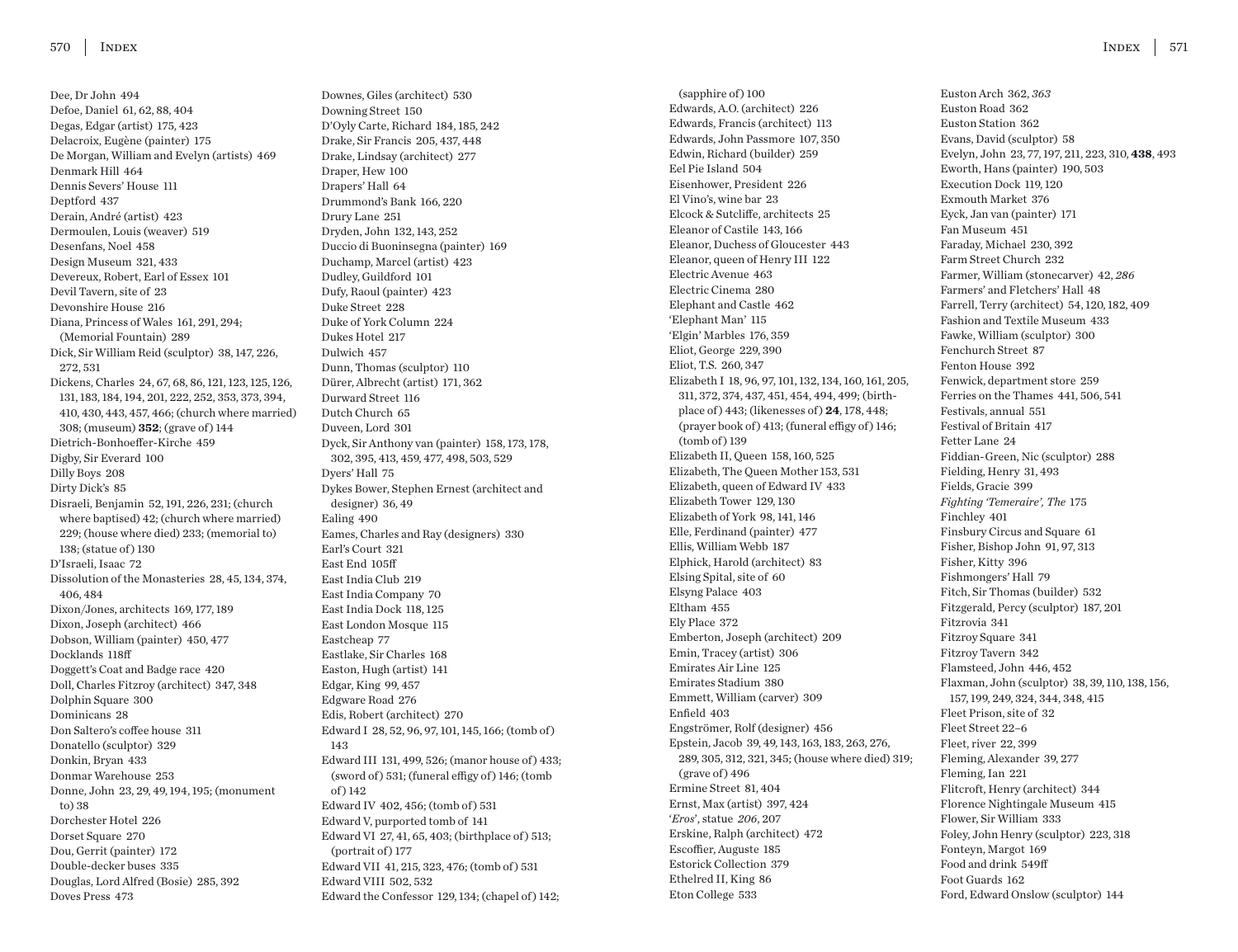Dee, Dr John 494 Defoe, Daniel 61, 62, 88, 404 Degas, Edgar (artist) 175, 423 Delacroix, Eugène (painter) 175 De Morgan, William and Evelyn (artists) 469 Denmark Hill 464 Dennis Severs' House 111 Deptford 437 Derain, André (artist) 423 Dermoulen, Louis (weaver) 519 Desenfans, Noel 458 Design Museum 321, 433 Devereux, Robert, Earl of Essex 101 Devil Tavern, site of 23 Devonshire House 216 Diana, Princess of Wales 161, 291, 294; (Memorial Fountain) 289 Dick, Sir William Reid (sculptor) 38, 147, 226, 272, 531 Dickens, Charles 24, 67, 68, 86, 121, 123, 125, 126, 131, 183, 184, 194, 201, 222, 252, 353, 373, 394, 410, 430, 443, 457, 466; (church where married) 308; (museum) **352**; (grave of ) 144 Dietrich-Bonhoeffer-Kirche 459 Digby, Sir Everard 100 Dilly Boys 208 Dirty Dick's 85 Disraeli, Benjamin 52, 191, 226, 231; (church where baptised) 42; (church where married) 229; (house where died) 233; (memorial to) 138; (statue of ) 130 D'Israeli, Isaac 72 Dissolution of the Monasteries 28, 45, 134, 374, 406, 484 Dixon/Jones, architects 169, 177, 189 Dixon, Joseph (architect) 466 Dobson, William (painter) 450, 477 Docklands 118ff Doggett's Coat and Badge race 420 Doll, Charles Fitzroy (architect) 347, 348 Dolphin Square 300 Dominicans 28 Don Saltero's coffee house 311 Donatello (sculptor) 329 Donkin, Bryan 433 Donmar Warehouse 253 Donne, John 23, 29, 49, 194, 195; (monument to) 38 Dorchester Hotel 226 Dorset Square 270 Dou, Gerrit (painter) 172 Double-decker buses 335 Douglas, Lord Alfred (Bosie) 285, 392 Doves Press 473

Downes, Giles (architect) 530 Downing Street 150 D'Oyly Carte, Richard 184, 185, 242 Drake, Sir Francis 205, 437, 448 Drake, Lindsay (architect) 277 Draper, Hew 100 Drapers' Hall 64 Drummond's Bank 166, 220 Drury Lane 251 Dryden, John 132, 143, 252 Duccio di Buoninsegna (painter) 169 Duchamp, Marcel (artist) 423 Dudley, Guildford 101 Dufy, Raoul (painter) 423 Duke Street 228 Duke of York Column 224 Dukes Hotel 217 Dulwich 457 Dunn, Thomas (sculptor) 110 Dürer, Albrecht (artist) 171, 362 Durward Street 116 Dutch Church 65 Duveen, Lord 301 Dyck, Sir Anthony van (painter) 158, 173, 178, 302, 395, 413, 459, 477, 498, 503, 529 Dyers' Hall 75 Dykes Bower, Stephen Ernest (architect and designer) 36, 49 Ealing 490 Eames, Charles and Ray (designers) 330 Earl's Court 321 East End 105ff East India Club 219 East India Company 70 East India Dock 118, 125 East London Mosque 115 Eastcheap 77 Eastlake, Sir Charles 168 Easton, Hugh (artist) 141 Edgar, King 99, 457 Edgware Road 276 Edis, Robert (architect) 270 Edward I 28, 52, 96, 97, 101, 145, 166; (tomb of ) 143 Edward III 131, 499, 526; (manor house of ) 433; (sword of) 531; (funeral effigy of) 146; (tomb  $of$ ) 142 Edward IV 402, 456; (tomb of ) 531 Edward V, purported tomb of 141 Edward VI 27, 41, 65, 403; (birthplace of) 513;  $($ portrait of $)$  177 Edward VII 41, 215, 323, 476; (tomb of ) 531 Edward VIII 502, 532

Edward the Confessor 129, 134; (chapel of ) 142;

(sapphire of) 100 Edwards, A.O. (architect) 226 Edwards, Francis (architect) 113 Edwards, John Passmore 107, 350 Edwin, Richard (builder) 259 Eel Pie Island 504 Eisenhower, President 226 El Vino's, wine bar 23 Elcock & Sutcliffe, architects 25 Eleanor of Castile 143, 166 Eleanor, Duchess of Gloucester 443 Eleanor, queen of Henry III 122 Electric Avenue 463 Electric Cinema 280 Elephant and Castle 462 'Elephant Man' 115 'Elgin' Marbles 176, 359 Eliot, George 229, 390 Eliot, T.S. 260, 347 Elizabeth I 18, 96, 97, 101, 132, 134, 160, 161, 205, 311, 372, 374, 437, 451, 454, 494, 499; (birthplace of ) 443; (likenesses of ) **24**, 178, 448; (prayer book of ) 413; (funeral effigy of ) 146; (tomb of ) 139 Elizabeth II, Queen 158, 160, 525 Elizabeth, The Queen Mother 153, 531 Elizabeth, queen of Edward IV 433 Elizabeth Tower 129, 130 Elizabeth of York 98, 141, 146 Elle, Ferdinand (painter) 477 Ellis, William Webb 187 Elphick, Harold (architect) 83 Elsing Spital, site of 60 Elsyng Palace 403 Eltham 455 Ely Place 372 Emberton, Joseph (architect) 209 Emin, Tracey (artist) 306 Emirates Air Line 125 Emirates Stadium 380 Emmett, William (carver) 309 Enfield 403 Engströmer, Rolf (designer) 456 Epstein, Jacob 39, 49, 143, 163, 183, 263, 276, 289, 305, 312, 321, 345; (house where died) 319;  $(grave of) 496$ Ermine Street 81, 404 Ernst, Max (artist) 397, 424 '*Eros*', statue *206*, 207 Erskine, Ralph (architect) 472 Escoffier, Auguste 185 Estorick Collection 379 Ethelred II, King 86 Eton College 533

Euston Arch 362, *363* Euston Road 362 Euston Station 362 Evans, David (sculptor) 58 Evelyn, John 23, 77, 197, 211, 223, 310, **438**, 493 Eworth, Hans (painter) 190, 503 Execution Dock 119, 120 Exmouth Market 376 Eyck, Jan van (painter) 171 Fan Museum 451 Faraday, Michael 230, 392 Farm Street Church 232 Farmer, William (stonecarver) 42, *286* Farmers' and Fletchers' Hall 48 Farrell, Terry (architect) 54, 120, 182, 409 Fashion and Textile Museum 433 Fawke, William (sculptor) 300 Fenchurch Street 87 Fenton House 392 Fenwick, department store 259 Ferries on the Thames 441, 506, 541 Festivals, annual 551 Festival of Britain 417 Fetter Lane 24 Fiddian-Green, Nic (sculptor) 288 Fielding, Henry 31, 493 Fields, Gracie 399 *Fighting 'Temeraire', The* 175 Finchley 401 Finsbury Circus and Square 61 Fisher, Bishop John 91, 97, 313 Fisher, Kitty 396 Fishmongers' Hall 79 Fitch, Sir Thomas (builder) 532 Fitzgerald, Percy (sculptor) 187, 201 Fitzrovia 341 Fitzroy Square 341 Fitzroy Tavern 342 Flamsteed, John 446, 452 Flaxman, John (sculptor) 38, 39, 110, 138, 156, 157, 199, 249, 324, 344, 348, 415 Fleet Prison, site of 32 Fleet Street 22–6 Fleet, river 22, 399 Fleming, Alexander 39, 277 Fleming, Ian 221 Flitcroft, Henry (architect) 344 Florence Nightingale Museum 415 Flower, Sir William 333 Foley, John Henry (sculptor) 223, 318 Fonteyn, Margot 169 Food and drink 549ff Foot Guards 162 Ford, Edward Onslow (sculptor) 144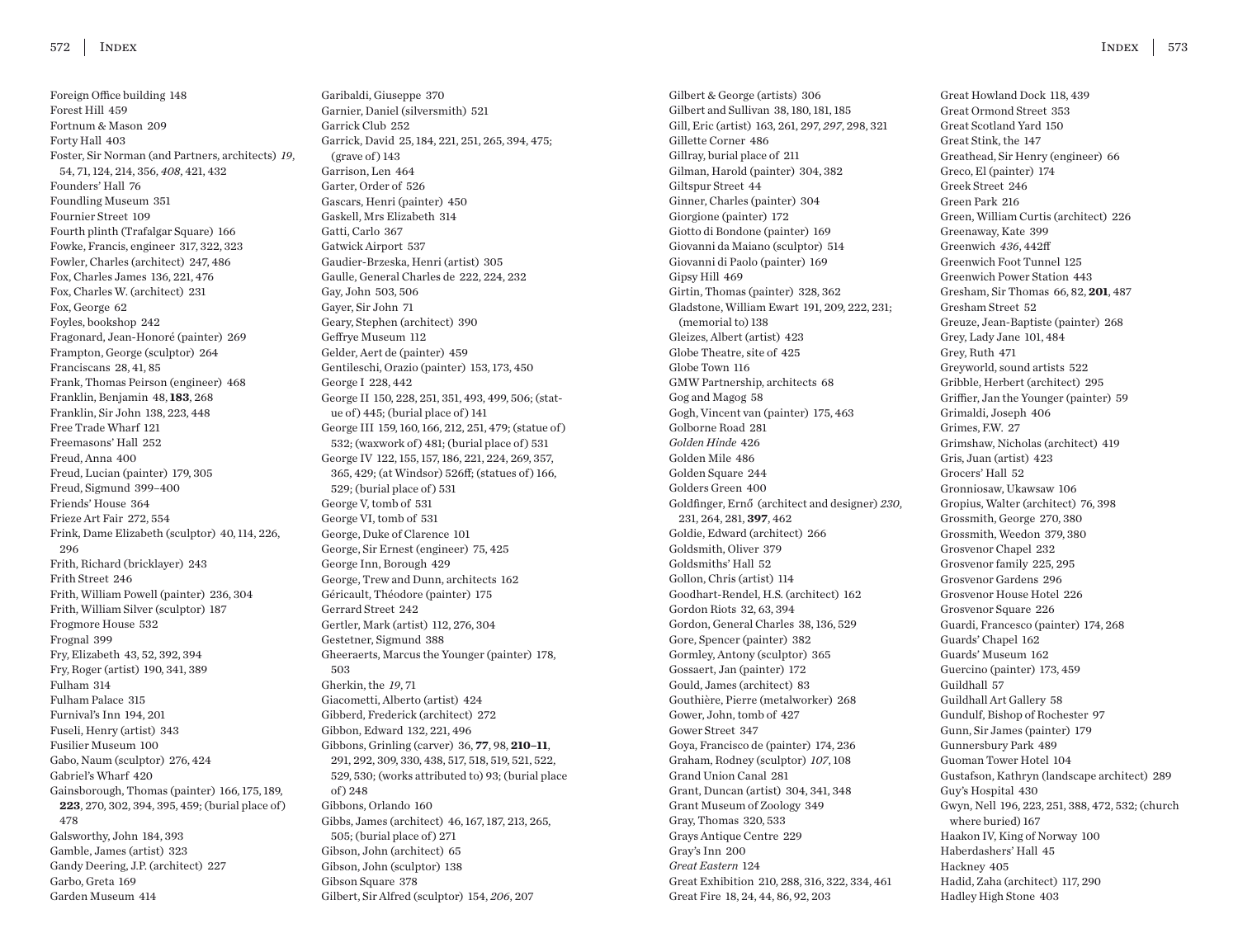Foreign Office building 148 Forest Hill 459 Fortnum & Mason 209 Forty Hall 403 Foster, Sir Norman (and Partners, architects) *19*, 54, 71, 124, 214, 356, *408*, 421, 432 Founders' Hall 76 Foundling Museum 351 Fournier Street 109 Fourth plinth (Trafalgar Square) 166 Fowke, Francis, engineer 317, 322, 323 Fowler, Charles (architect) 247, 486 Fox, Charles James 136, 221, 476 Fox, Charles W. (architect) 231 Fox, George 62 Foyles, bookshop 242 Fragonard, Jean-Honoré (painter) 269 Frampton, George (sculptor) 264 Franciscans 28, 41, 85 Frank, Thomas Peirson (engineer) 468 Franklin, Benjamin 48, **183**, 268 Franklin, Sir John 138, 223, 448 Free Trade Wharf 121 Freemasons' Hall 252 Freud, Anna 400 Freud, Lucian (painter) 179, 305 Freud, Sigmund 399–400 Friends' House 364 Frieze Art Fair 272, 554 Frink, Dame Elizabeth (sculptor) 40, 114, 226, 296 Frith, Richard (bricklayer) 243 Frith Street 246 Frith, William Powell (painter) 236, 304 Frith, William Silver (sculptor) 187 Frogmore House 532 Frognal 399 Fry, Elizabeth 43, 52, 392, 394 Fry, Roger (artist) 190, 341, 389 Fulham 314 Fulham Palace 315 Furnival's Inn 194, 201 Fuseli, Henry (artist) 343 Fusilier Museum 100 Gabo, Naum (sculptor) 276, 424 Gabriel's Wharf 420 Gainsborough, Thomas (painter) 166, 175, 189, **223**, 270, 302, 394, 395, 459; (burial place of ) 478 Galsworthy, John 184, 393 Gamble, James (artist) 323 Gandy Deering, J.P. (architect) 227 Garbo, Greta 169 Garden Museum 414

Garibaldi, Giuseppe 370 Garnier, Daniel (silversmith) 521 Garrick Club 252 Garrick, David 25, 184, 221, 251, 265, 394, 475;  $(grave of) 143$ Garrison, Len 464 Garter, Order of 526 Gascars, Henri (painter) 450 Gaskell, Mrs Elizabeth 314 Gatti, Carlo 367 Gatwick Airport 537 Gaudier-Brzeska, Henri (artist) 305 Gaulle, General Charles de 222, 224, 232 Gay, John 503, 506 Gayer, Sir John 71 Geary, Stephen (architect) 390 Geffrye Museum 112 Gelder, Aert de (painter) 459 Gentileschi, Orazio (painter) 153, 173, 450 George I 228, 442 George II 150, 228, 251, 351, 493, 499, 506; (statue of) 445; (burial place of) 141 George III 159, 160, 166, 212, 251, 479; (statue of ) 532; (waxwork of ) 481; (burial place of ) 531 George IV 122, 155, 157, 186, 221, 224, 269, 357, 365, 429; (at Windsor) 526ff; (statues of ) 166, 529; (burial place of ) 531 George V, tomb of 531 George VI, tomb of 531 George, Duke of Clarence 101 George, Sir Ernest (engineer) 75, 425 George Inn, Borough 429 George, Trew and Dunn, architects 162 Géricault, Théodore (painter) 175 Gerrard Street 242 Gertler, Mark (artist) 112, 276, 304 Gestetner, Sigmund 388 Gheeraerts, Marcus the Younger (painter) 178, 503 Gherkin, the *19*, 71 Giacometti, Alberto (artist) 424 Gibberd, Frederick (architect) 272 Gibbon, Edward 132, 221, 496 Gibbons, Grinling (carver) 36, **77**, 98, **210–11**, 291, 292, 309, 330, 438, 517, 518, 519, 521, 522, 529, 530; (works attributed to) 93; (burial place of ) 248 Gibbons, Orlando 160 Gibbs, James (architect) 46, 167, 187, 213, 265, 505; (burial place of ) 271 Gibson, John (architect) 65 Gibson, John (sculptor) 138 Gibson Square 378 Gilbert, Sir Alfred (sculptor) 154, *206*, 207

Gilbert & George (artists) 306 Gilbert and Sullivan 38, 180, 181, 185 Gill, Eric (artist) 163, 261, 297, *297*, 298, 321 Gillette Corner 486 Gillray, burial place of 211 Gilman, Harold (painter) 304, 382 Giltspur Street 44 Ginner, Charles (painter) 304 Giorgione (painter) 172 Giotto di Bondone (painter) 169 Giovanni da Maiano (sculptor) 514 Giovanni di Paolo (painter) 169 Gipsy Hill 469 Girtin, Thomas (painter) 328, 362 Gladstone, William Ewart 191, 209, 222, 231; (memorial to) 138 Gleizes, Albert (artist) 423 Globe Theatre, site of 425 Globe Town 116 GMW Partnership, architects 68 Gog and Magog 58 Gogh, Vincent van (painter) 175, 463 Golborne Road 281 *Golden Hinde* 426 Golden Mile 486 Golden Square 244 Golders Green 400 Goldfinger, Ernő (architect and designer) *230*, 231, 264, 281, **397**, 462 Goldie, Edward (architect) 266 Goldsmith, Oliver 379 Goldsmiths' Hall 52 Gollon, Chris (artist) 114 Goodhart-Rendel, H.S. (architect) 162 Gordon Riots 32, 63, 394 Gordon, General Charles 38, 136, 529 Gore, Spencer (painter) 382 Gormley, Antony (sculptor) 365 Gossaert, Jan (painter) 172 Gould, James (architect) 83 Gouthière, Pierre (metalworker) 268 Gower, John, tomb of 427 Gower Street 347 Goya, Francisco de (painter) 174, 236 Graham, Rodney (sculptor) *107*, 108 Grand Union Canal 281 Grant, Duncan (artist) 304, 341, 348 Grant Museum of Zoology 349 Gray, Thomas 320, 533 Grays Antique Centre 229 Gray's Inn 200 *Great Eastern* 124 Great Exhibition 210, 288, 316, 322, 334, 461 Great Fire 18, 24, 44, 86, 92, 203

Great Howland Dock 118, 439 Great Ormond Street 353 Great Scotland Yard 150 Great Stink, the 147 Greathead, Sir Henry (engineer) 66 Greco, El (painter) 174 Greek Street 246 Green Park 216 Green, William Curtis (architect) 226 Greenaway, Kate 399 Greenwich *436*, 442ff Greenwich Foot Tunnel 125 Greenwich Power Station 443 Gresham, Sir Thomas 66, 82, **201**, 487 Gresham Street 52 Greuze, Jean-Baptiste (painter) 268 Grey, Lady Jane 101, 484 Grey, Ruth 471 Greyworld, sound artists 522 Gribble, Herbert (architect) 295 Griffier, Jan the Younger (painter) 59 Grimaldi, Joseph 406 Grimes, F.W. 27 Grimshaw, Nicholas (architect) 419 Gris, Juan (artist) 423 Grocers' Hall 52 Gronniosaw, Ukawsaw 106 Gropius, Walter (architect) 76, 398 Grossmith, George 270, 380 Grossmith, Weedon 379, 380 Grosvenor Chapel 232 Grosvenor family 225, 295 Grosvenor Gardens 296 Grosvenor House Hotel 226 Grosvenor Square 226 Guardi, Francesco (painter) 174, 268 Guards' Chapel 162 Guards' Museum 162 Guercino (painter) 173, 459 Guildhall 57 Guildhall Art Gallery 58 Gundulf, Bishop of Rochester 97 Gunn, Sir James (painter) 179 Gunnersbury Park 489 Guoman Tower Hotel 104 Gustafson, Kathryn (landscape architect) 289 Guy's Hospital 430 Gwyn, Nell 196, 223, 251, 388, 472, 532; (church where buried) 167 Haakon IV, King of Norway 100 Haberdashers' Hall 45 Hackney 405 Hadid, Zaha (architect) 117, 290 Hadley High Stone 403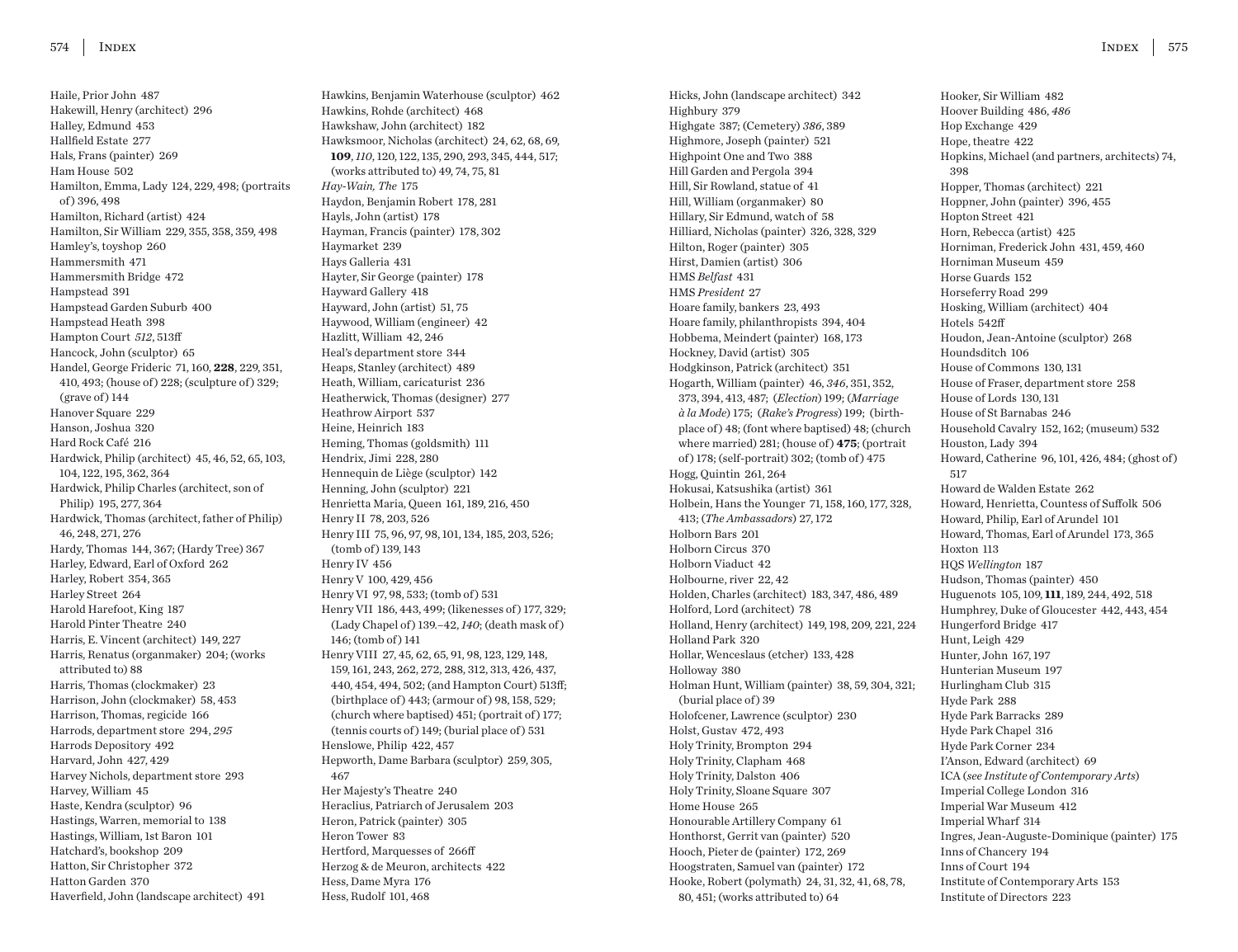Haile, Prior John 487 Hakewill, Henry (architect) 296 Halley, Edmund 453 Hallfield Estate 277 Hals, Frans (painter) 269 Ham House 502 Hamilton, Emma, Lady 124, 229, 498; (portraits of ) 396, 498 Hamilton, Richard (artist) 424 Hamilton, Sir William 229, 355, 358, 359, 498 Hamley's, toyshop 260 Hammersmith 471 Hammersmith Bridge 472 Hampstead 391 Hampstead Garden Suburb 400 Hampstead Heath 398 Hampton Court *512*, 513ff Hancock, John (sculptor) 65 Handel, George Frideric 71, 160, **228**, 229, 351, 410, 493; (house of) 228; (sculpture of) 329;  $(grave of) 144$ Hanover Square 229 Hanson, Joshua 320 Hard Rock Café 216 Hardwick, Philip (architect) 45, 46, 52, 65, 103, 104, 122, 195, 362, 364 Hardwick, Philip Charles (architect, son of Philip) 195, 277, 364 Hardwick, Thomas (architect, father of Philip) 46, 248, 271, 276 Hardy, Thomas 144, 367; (Hardy Tree) 367 Harley, Edward, Earl of Oxford 262 Harley, Robert 354, 365 Harley Street 264 Harold Harefoot, King 187 Harold Pinter Theatre 240 Harris, E. Vincent (architect) 149, 227 Harris, Renatus (organmaker) 204; (works attributed to) 88 Harris, Thomas (clockmaker) 23 Harrison, John (clockmaker) 58, 453 Harrison, Thomas, regicide 166 Harrods, department store 294, *295* Harrods Depository 492 Harvard, John 427, 429 Harvey Nichols, department store 293 Harvey, William 45 Haste, Kendra (sculptor) 96 Hastings, Warren, memorial to 138 Hastings, William, 1st Baron 101 Hatchard's, bookshop 209 Hatton, Sir Christopher 372 Hatton Garden 370 Haverfield, John (landscape architect) 491

Hawkins, Benjamin Waterhouse (sculptor) 462 Hawkins, Rohde (architect) 468 Hawkshaw, John (architect) 182 Hawksmoor, Nicholas (architect) 24, 62, 68, 69, **109**, *110*, 120, 122, 135, 290, 293, 345, 444, 517; (works attributed to) 49, 74, 75, 81 *Hay-Wain, The* 175 Haydon, Benjamin Robert 178, 281 Hayls, John (artist) 178 Hayman, Francis (painter) 178, 302 Haymarket 239 Hays Galleria 431 Hayter, Sir George (painter) 178 Hayward Gallery 418 Hayward, John (artist) 51, 75 Haywood, William (engineer) 42 Hazlitt, William 42, 246 Heal's department store 344 Heaps, Stanley (architect) 489 Heath, William, caricaturist 236 Heatherwick, Thomas (designer) 277 Heathrow Airport 537 Heine, Heinrich 183 Heming, Thomas (goldsmith) 111 Hendrix, Jimi 228, 280 Hennequin de Liège (sculptor) 142 Henning, John (sculptor) 221 Henrietta Maria, Queen 161, 189, 216, 450 Henry II 78, 203, 526 Henry III 75, 96, 97, 98, 101, 134, 185, 203, 526; (tomb of ) 139, 143 Henry IV 456 Henry V 100, 429, 456 Henry VI 97, 98, 533; (tomb of ) 531 Henry VII 186, 443, 499; (likenesses of ) 177, 329; (Lady Chapel of ) 139.–42, *140*; (death mask of ) 146; (tomb of) 141 Henry VIII 27, 45, 62, 65, 91, 98, 123, 129, 148, 159, 161, 243, 262, 272, 288, 312, 313, 426, 437, 440, 454, 494, 502; (and Hampton Court) 513ff; (birthplace of) 443; (armour of) 98, 158, 529; (church where baptised) 451; (portrait of ) 177; (tennis courts of ) 149; (burial place of ) 531 Henslowe, Philip 422, 457 Hepworth, Dame Barbara (sculptor) 259, 305, 467 Her Majesty's Theatre 240 Heraclius, Patriarch of Jerusalem 203 Heron, Patrick (painter) 305 Heron Tower 83 Hertford, Marquesses of 266ff Herzog & de Meuron, architects 422 Hess, Dame Myra 176 Hess, Rudolf 101, 468

Hicks, John (landscape architect) 342 Highbury 379 Highgate 387; (Cemetery) *386*, 389 Highmore, Joseph (painter) 521 Highpoint One and Two 388 Hill Garden and Pergola 394 Hill, Sir Rowland, statue of 41 Hill, William (organmaker) 80 Hillary, Sir Edmund, watch of 58 Hilliard, Nicholas (painter) 326, 328, 329 Hilton, Roger (painter) 305 Hirst, Damien (artist) 306 HMS *Belfast* 431 HMS *President* 27 Hoare family, bankers 23, 493 Hoare family, philanthropists 394, 404 Hobbema, Meindert (painter) 168, 173 Hockney, David (artist) 305 Hodgkinson, Patrick (architect) 351 Hogarth, William (painter) 46, *346*, 351, 352, 373, 394, 413, 487; (*Election*) 199; (*Marriage à la Mode*) 175; (*Rake's Progress*) 199; (birthplace of ) 48; (font where baptised) 48; (church where married) 281; (house of) 475; (portrait of ) 178; (self-portrait) 302; (tomb of ) 475 Hogg, Quintin 261, 264 Hokusai, Katsushika (artist) 361 Holbein, Hans the Younger 71, 158, 160, 177, 328, 413; (*The Ambassadors*) 27, 172 Holborn Bars 201 Holborn Circus 370 Holborn Viaduct 42 Holbourne, river 22, 42 Holden, Charles (architect) 183, 347, 486, 489 Holford, Lord (architect) 78 Holland, Henry (architect) 149, 198, 209, 221, 224 Holland Park 320 Hollar, Wenceslaus (etcher) 133, 428 Holloway 380 Holman Hunt, William (painter) 38, 59, 304, 321; (burial place of) 39 Holofcener, Lawrence (sculptor) 230 Holst, Gustav 472, 493 Holy Trinity, Brompton 294 Holy Trinity, Clapham 468 Holy Trinity, Dalston 406 Holy Trinity, Sloane Square 307 Home House 265 Honourable Artillery Company 61 Honthorst, Gerrit van (painter) 520 Hooch, Pieter de (painter) 172, 269 Hoogstraten, Samuel van (painter) 172 Hooke, Robert (polymath) 24, 31, 32, 41, 68, 78, 80, 451; (works attributed to) 64

Hooker, Sir William 482 Hoover Building 486, *486* Hop Exchange 429 Hope, theatre 422 Hopkins, Michael (and partners, architects) 74, 398 Hopper, Thomas (architect) 221 Hoppner, John (painter) 396, 455 Hopton Street 421 Horn, Rebecca (artist) 425 Horniman, Frederick John 431, 459, 460 Horniman Museum 459 Horse Guards 152 Horseferry Road 299 Hosking, William (architect) 404 Hotels 542ff Houdon, Jean-Antoine (sculptor) 268 Houndsditch 106 House of Commons 130, 131 House of Fraser, department store 258 House of Lords 130, 131 House of St Barnabas 246 Household Cavalry 152, 162; (museum) 532 Houston, Lady 394 Howard, Catherine 96, 101, 426, 484; (ghost of ) 517 Howard de Walden Estate 262 Howard, Henrietta, Countess of Suffolk 506 Howard, Philip, Earl of Arundel 101 Howard, Thomas, Earl of Arundel 173, 365 Hoxton 113 HQS *Wellington* 187 Hudson, Thomas (painter) 450 Huguenots 105, 109, **111**, 189, 244, 492, 518 Humphrey, Duke of Gloucester 442, 443, 454 Hungerford Bridge 417 Hunt, Leigh 429 Hunter, John 167, 197 Hunterian Museum 197 Hurlingham Club 315 Hyde Park 288 Hyde Park Barracks 289 Hyde Park Chapel 316 Hyde Park Corner 234 I'Anson, Edward (architect) 69 ICA (*see Institute of Contemporary Arts*) Imperial College London 316 Imperial War Museum 412 Imperial Wharf 314 Ingres, Jean-Auguste-Dominique (painter) 175 Inns of Chancery 194 Inns of Court 194 Institute of Contemporary Arts 153 Institute of Directors 223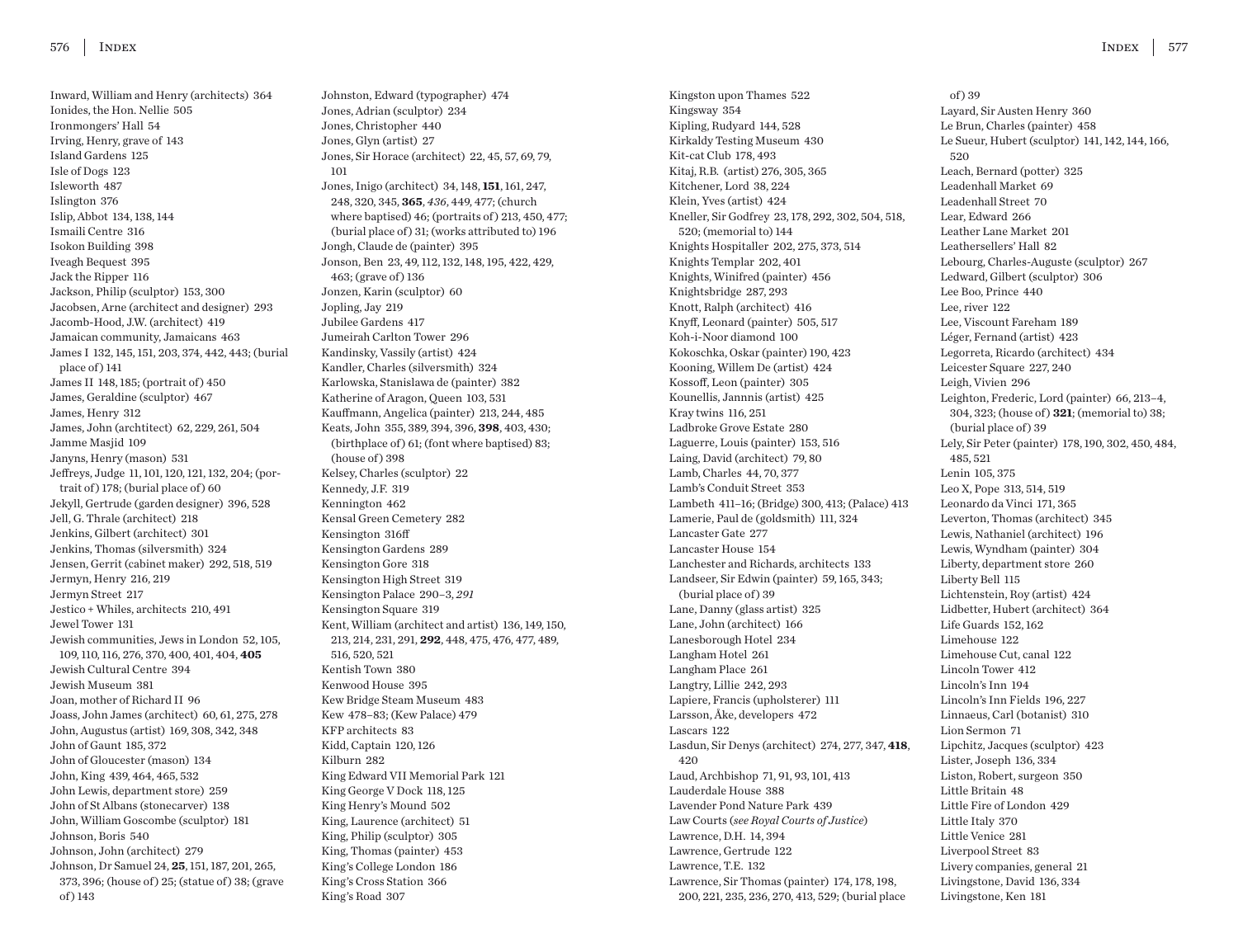Inward, William and Henry (architects) 364 Ionides, the Hon. Nellie 505 Ironmongers' Hall 54 Irving, Henry, grave of 143 Island Gardens 125 Isle of Dogs 123 Isleworth 487 Islington 376 Islip, Abbot 134, 138, 144 Ismaili Centre 316 Isokon Building 398 Iveagh Bequest 395 Jack the Ripper 116 Jackson, Philip (sculptor) 153, 300 Jacobsen, Arne (architect and designer) 293 Jacomb-Hood, J.W. (architect) 419 Jamaican community, Jamaicans 463 James I 132, 145, 151, 203, 374, 442, 443; (burial place of ) 141 James II 148, 185; (portrait of ) 450 James, Geraldine (sculptor) 467 James, Henry 312 James, John (archtitect) 62, 229, 261, 504 Jamme Masjid 109 Janyns, Henry (mason) 531 Jeffreys, Judge 11, 101, 120, 121, 132, 204; (portrait of) 178; (burial place of) 60 Jekyll, Gertrude (garden designer) 396, 528 Jell, G. Thrale (architect) 218 Jenkins, Gilbert (architect) 301 Jenkins, Thomas (silversmith) 324 Jensen, Gerrit (cabinet maker) 292, 518, 519 Jermyn, Henry 216, 219 Jermyn Street 217 Jestico + Whiles, architects 210, 491 Jewel Tower 131 Jewish communities, Jews in London 52, 105, 109, 110, 116, 276, 370, 400, 401, 404, **405** Jewish Cultural Centre 394 Jewish Museum 381 Joan, mother of Richard II 96 Joass, John James (architect) 60, 61, 275, 278 John, Augustus (artist) 169, 308, 342, 348 John of Gaunt 185, 372 John of Gloucester (mason) 134 John, King 439, 464, 465, 532 John Lewis, department store) 259 John of St Albans (stonecarver) 138 John, William Goscombe (sculptor) 181 Johnson, Boris 540 Johnson, John (architect) 279 Johnson, Dr Samuel 24, **25**, 151, 187, 201, 265, 373, 396; (house of ) 25; (statue of ) 38; (grave of ) 143

Johnston, Edward (typographer) 474 Jones, Adrian (sculptor) 234 Jones, Christopher 440 Jones, Glyn (artist) 27 Jones, Sir Horace (architect) 22, 45, 57, 69, 79, 101 Jones, Inigo (architect) 34, 148, **151**, 161, 247, 248, 320, 345, **365**, *436*, 449, 477; (church where baptised) 46; (portraits of ) 213, 450, 477; (burial place of) 31; (works attributed to) 196 Jongh, Claude de (painter) 395 Jonson, Ben 23, 49, 112, 132, 148, 195, 422, 429, 463; (grave of ) 136 Jonzen, Karin (sculptor) 60 Jopling, Jay 219 Jubilee Gardens 417 Jumeirah Carlton Tower 296 Kandinsky, Vassily (artist) 424 Kandler, Charles (silversmith) 324 Karlowska, Stanislawa de (painter) 382 Katherine of Aragon, Queen 103, 531 Kauffmann, Angelica (painter) 213, 244, 485 Keats, John 355, 389, 394, 396, **398**, 403, 430; (birthplace of) 61; (font where baptised) 83; (house of) 398 Kelsey, Charles (sculptor) 22 Kennedy, J.F. 319 Kennington 462 Kensal Green Cemetery 282 Kensington 316ff Kensington Gardens 289 Kensington Gore 318 Kensington High Street 319 Kensington Palace 290–3, *291* Kensington Square 319 Kent, William (architect and artist) 136, 149, 150, 213, 214, 231, 291, **292**, 448, 475, 476, 477, 489, 516, 520, 521 Kentish Town 380 Kenwood House 395 Kew Bridge Steam Museum 483 Kew 478–83; (Kew Palace) 479 KFP architects 83 Kidd, Captain 120, 126 Kilburn 282 King Edward VII Memorial Park 121 King George V Dock 118, 125 King Henry's Mound 502 King, Laurence (architect) 51 King, Philip (sculptor) 305 King, Thomas (painter) 453 King's College London 186 King's Cross Station 366 King's Road 307

Kingston upon Thames 522 Kingsway 354 Kipling, Rudyard 144, 528 Kirkaldy Testing Museum 430 Kit-cat Club 178, 493 Kitaj, R.B. (artist) 276, 305, 365 Kitchener, Lord 38, 224 Klein, Yves (artist) 424 Kneller, Sir Godfrey 23, 178, 292, 302, 504, 518, 520; (memorial to) 144 Knights Hospitaller 202, 275, 373, 514 Knights Templar 202, 401 Knights, Winifred (painter) 456 Knightsbridge 287, 293 Knott, Ralph (architect) 416 Knyff, Leonard (painter) 505, 517 Koh-i-Noor diamond 100 Kokoschka, Oskar (painter) 190, 423 Kooning, Willem De (artist) 424 Kossoff, Leon (painter) 305 Kounellis, Jannnis (artist) 425 Kray twins 116, 251 Ladbroke Grove Estate 280 Laguerre, Louis (painter) 153, 516 Laing, David (architect) 79, 80 Lamb, Charles 44, 70, 377 Lamb's Conduit Street 353 Lambeth 411–16; (Bridge) 300, 413; (Palace) 413 Lamerie, Paul de (goldsmith) 111, 324 Lancaster Gate 277 Lancaster House 154 Lanchester and Richards, architects 133 Landseer, Sir Edwin (painter) 59, 165, 343; (burial place of) 39 Lane, Danny (glass artist) 325 Lane, John (architect) 166 Lanesborough Hotel 234 Langham Hotel 261 Langham Place 261 Langtry, Lillie 242, 293 Lapiere, Francis (upholsterer) 111 Larsson, Åke, developers 472 Lascars 122 Lasdun, Sir Denys (architect) 274, 277, 347, **418**, 420 Laud, Archbishop 71, 91, 93, 101, 413 Lauderdale House 388 Lavender Pond Nature Park 439 Law Courts (*see Royal Courts of Justice*) Lawrence, D.H. 14, 394 Lawrence, Gertrude 122 Lawrence, T.E. 132 Lawrence, Sir Thomas (painter) 174, 178, 198, 200, 221, 235, 236, 270, 413, 529; (burial place

INDEX 577

of ) 39 Layard, Sir Austen Henry 360 Le Brun, Charles (painter) 458 Le Sueur, Hubert (sculptor) 141, 142, 144, 166, 520 Leach, Bernard (potter) 325 Leadenhall Market 69 Leadenhall Street 70 Lear, Edward 266 Leather Lane Market 201 Leathersellers' Hall 82 Lebourg, Charles-Auguste (sculptor) 267 Ledward, Gilbert (sculptor) 306 Lee Boo, Prince 440 Lee, river 122 Lee, Viscount Fareham 189 Léger, Fernand (artist) 423 Legorreta, Ricardo (architect) 434 Leicester Square 227, 240 Leigh, Vivien 296 Leighton, Frederic, Lord (painter) 66, 213–4, 304, 323; (house of ) **321**; (memorial to) 38; (burial place of) 39 Lely, Sir Peter (painter) 178, 190, 302, 450, 484, 485, 521 Lenin 105, 375 Leo X, Pope 313, 514, 519 Leonardo da Vinci 171, 365 Leverton, Thomas (architect) 345 Lewis, Nathaniel (architect) 196 Lewis, Wyndham (painter) 304 Liberty, department store 260 Liberty Bell 115 Lichtenstein, Roy (artist) 424 Lidbetter, Hubert (architect) 364 Life Guards 152, 162 Limehouse 122 Limehouse Cut, canal 122 Lincoln Tower 412 Lincoln's Inn 194 Lincoln's Inn Fields 196, 227 Linnaeus, Carl (botanist) 310 Lion Sermon 71 Lipchitz, Jacques (sculptor) 423 Lister, Joseph 136, 334 Liston, Robert, surgeon 350 Little Britain 48 Little Fire of London 429 Little Italy 370 Little Venice 281 Liverpool Street 83 Livery companies, general 21 Livingstone, David 136, 334 Livingstone, Ken 181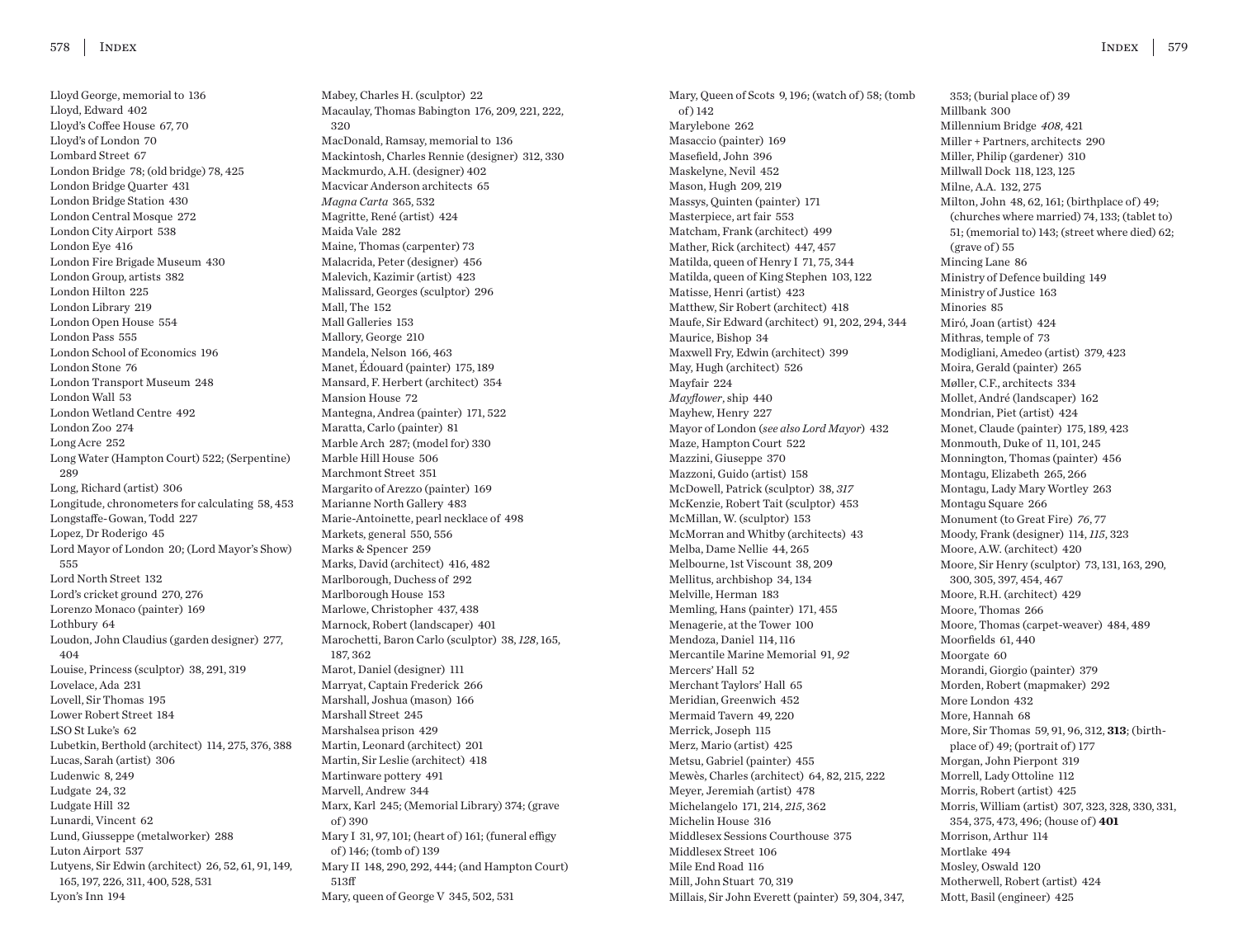Lloyd George, memorial to 136 Lloyd, Edward 402 Lloyd's Coffee House 67, 70 Lloyd's of London 70 Lombard Street 67 London Bridge 78; (old bridge) 78, 425 London Bridge Quarter 431 London Bridge Station 430 London Central Mosque 272 London City Airport 538 London Eye 416 London Fire Brigade Museum 430 London Group, artists 382 London Hilton 225 London Library 219 London Open House 554 London Pass 555 London School of Economics 196 London Stone 76 London Transport Museum 248 London Wall 53 London Wetland Centre 492 London Zoo 274 Long Acre 252 Long Water (Hampton Court) 522; (Serpentine) 289 Long, Richard (artist) 306 Longitude, chronometers for calculating 58, 453 Longstaffe-Gowan, Todd 227 Lopez, Dr Roderigo 45 Lord Mayor of London 20; (Lord Mayor's Show) 555 Lord North Street 132 Lord's cricket ground 270, 276 Lorenzo Monaco (painter) 169 Lothbury 64 Loudon, John Claudius (garden designer) 277, 404 Louise, Princess (sculptor) 38, 291, 319 Lovelace, Ada 231 Lovell, Sir Thomas 195 Lower Robert Street 184 LSO St Luke's 62 Lubetkin, Berthold (architect) 114, 275, 376, 388 Lucas, Sarah (artist) 306 Ludenwic 8, 249 Ludgate 24, 32 Ludgate Hill 32 Lunardi, Vincent 62 Lund, Giusseppe (metalworker) 288 Luton Airport 537 Lutyens, Sir Edwin (architect) 26, 52, 61, 91, 149, 165, 197, 226, 311, 400, 528, 531 Lyon's Inn 194

Mabey, Charles H. (sculptor) 22 Macaulay, Thomas Babington 176, 209, 221, 222, 320 MacDonald, Ramsay, memorial to 136 Mackintosh, Charles Rennie (designer) 312, 330 Mackmurdo, A.H. (designer) 402 Macvicar Anderson architects 65 *Magna Carta* 365, 532 Magritte, René (artist) 424 Maida Vale 282 Maine, Thomas (carpenter) 73 Malacrida, Peter (designer) 456 Malevich, Kazimir (artist) 423 Malissard, Georges (sculptor) 296 Mall, The 152 Mall Galleries 153 Mallory, George 210 Mandela, Nelson 166, 463 Manet, Édouard (painter) 175, 189 Mansard, F. Herbert (architect) 354 Mansion House 72 Mantegna, Andrea (painter) 171, 522 Maratta, Carlo (painter) 81 Marble Arch 287; (model for) 330 Marble Hill House 506 Marchmont Street 351 Margarito of Arezzo (painter) 169 Marianne North Gallery 483 Marie-Antoinette, pearl necklace of 498 Markets, general 550, 556 Marks & Spencer 259 Marks, David (architect) 416, 482 Marlborough, Duchess of 292 Marlborough House 153 Marlowe, Christopher 437, 438 Marnock, Robert (landscaper) 401 Marochetti, Baron Carlo (sculptor) 38, *128*, 165, 187, 362 Marot, Daniel (designer) 111 Marryat, Captain Frederick 266 Marshall, Joshua (mason) 166 Marshall Street 245 Marshalsea prison 429 Martin, Leonard (architect) 201 Martin, Sir Leslie (architect) 418 Martinware pottery 491 Marvell, Andrew 344 Marx, Karl 245; (Memorial Library) 374; (grave of ) 390 Mary I 31, 97, 101; (heart of ) 161; (funeral effigy of ) 146; (tomb of ) 139 Mary II 148, 290, 292, 444; (and Hampton Court) 513ff Mary, queen of George V 345, 502, 531

Mary, Queen of Scots 9, 196; (watch of) 58; (tomb of ) 142 Marylebone 262 Masaccio (painter) 169 Masefield, John 396 Maskelyne, Nevil 452 Mason, Hugh 209, 219 Massys, Quinten (painter) 171 Masterpiece, art fair 553 Matcham, Frank (architect) 499 Mather, Rick (architect) 447, 457 Matilda, queen of Henry I 71, 75, 344 Matilda, queen of King Stephen 103, 122 Matisse, Henri (artist) 423 Matthew, Sir Robert (architect) 418 Maufe, Sir Edward (architect) 91, 202, 294, 344 Maurice, Bishop 34 Maxwell Fry, Edwin (architect) 399 May, Hugh (architect) 526 Mayfair 224 *Mayflower*, ship 440 Mayhew, Henry 227 Mayor of London (*see also Lord Mayor*) 432 Maze, Hampton Court 522 Mazzini, Giuseppe 370 Mazzoni, Guido (artist) 158 McDowell, Patrick (sculptor) 38, *317* McKenzie, Robert Tait (sculptor) 453 McMillan, W. (sculptor) 153 McMorran and Whitby (architects) 43 Melba, Dame Nellie 44, 265 Melbourne, 1st Viscount 38, 209 Mellitus, archbishop 34, 134 Melville, Herman 183 Memling, Hans (painter) 171, 455 Menagerie, at the Tower 100 Mendoza, Daniel 114, 116 Mercantile Marine Memorial 91, *92* Mercers' Hall 52 Merchant Taylors' Hall 65 Meridian, Greenwich 452 Mermaid Tavern 49, 220 Merrick, Joseph 115 Merz, Mario (artist) 425 Metsu, Gabriel (painter) 455 Mewès, Charles (architect) 64, 82, 215, 222 Meyer, Jeremiah (artist) 478 Michelangelo 171, 214, *215*, 362 Michelin House 316 Middlesex Sessions Courthouse 375 Middlesex Street 106 Mile End Road 116 Mill, John Stuart 70, 319 Millais, Sir John Everett (painter) 59, 304, 347,

353; (burial place of) 39 Millbank 300 Millennium Bridge *408*, 421 Miller + Partners, architects 290 Miller, Philip (gardener) 310 Millwall Dock 118, 123, 125 Milne, A.A. 132, 275 Milton, John 48, 62, 161; (birthplace of ) 49; (churches where married) 74, 133; (tablet to) 51; (memorial to) 143; (street where died) 62;  $(grave of)$  55 Mincing Lane 86 Ministry of Defence building 149 Ministry of Justice 163 Minories 85 Miró, Joan (artist) 424 Mithras, temple of 73 Modigliani, Amedeo (artist) 379, 423 Moira, Gerald (painter) 265 Møller, C.F., architects 334 Mollet, André (landscaper) 162 Mondrian, Piet (artist) 424 Monet, Claude (painter) 175, 189, 423 Monmouth, Duke of 11, 101, 245 Monnington, Thomas (painter) 456 Montagu, Elizabeth 265, 266 Montagu, Lady Mary Wortley 263 Montagu Square 266 Monument (to Great Fire) *76*, 77 Moody, Frank (designer) 114, *115*, 323 Moore, A.W. (architect) 420 Moore, Sir Henry (sculptor) 73, 131, 163, 290, 300, 305, 397, 454, 467 Moore, R.H. (architect) 429 Moore, Thomas 266 Moore, Thomas (carpet-weaver) 484, 489 Moorfields 61, 440 Moorgate 60 Morandi, Giorgio (painter) 379 Morden, Robert (mapmaker) 292 More London 432 More, Hannah 68 More, Sir Thomas 59, 91, 96, 312, **313**; (birthplace of  $)$  49; (portrait of  $)$  177 Morgan, John Pierpont 319 Morrell, Lady Ottoline 112 Morris, Robert (artist) 425 Morris, William (artist) 307, 323, 328, 330, 331, 354, 375, 473, 496; (house of ) **401** Morrison, Arthur 114 Mortlake 494 Mosley, Oswald 120 Motherwell, Robert (artist) 424 Mott, Basil (engineer) 425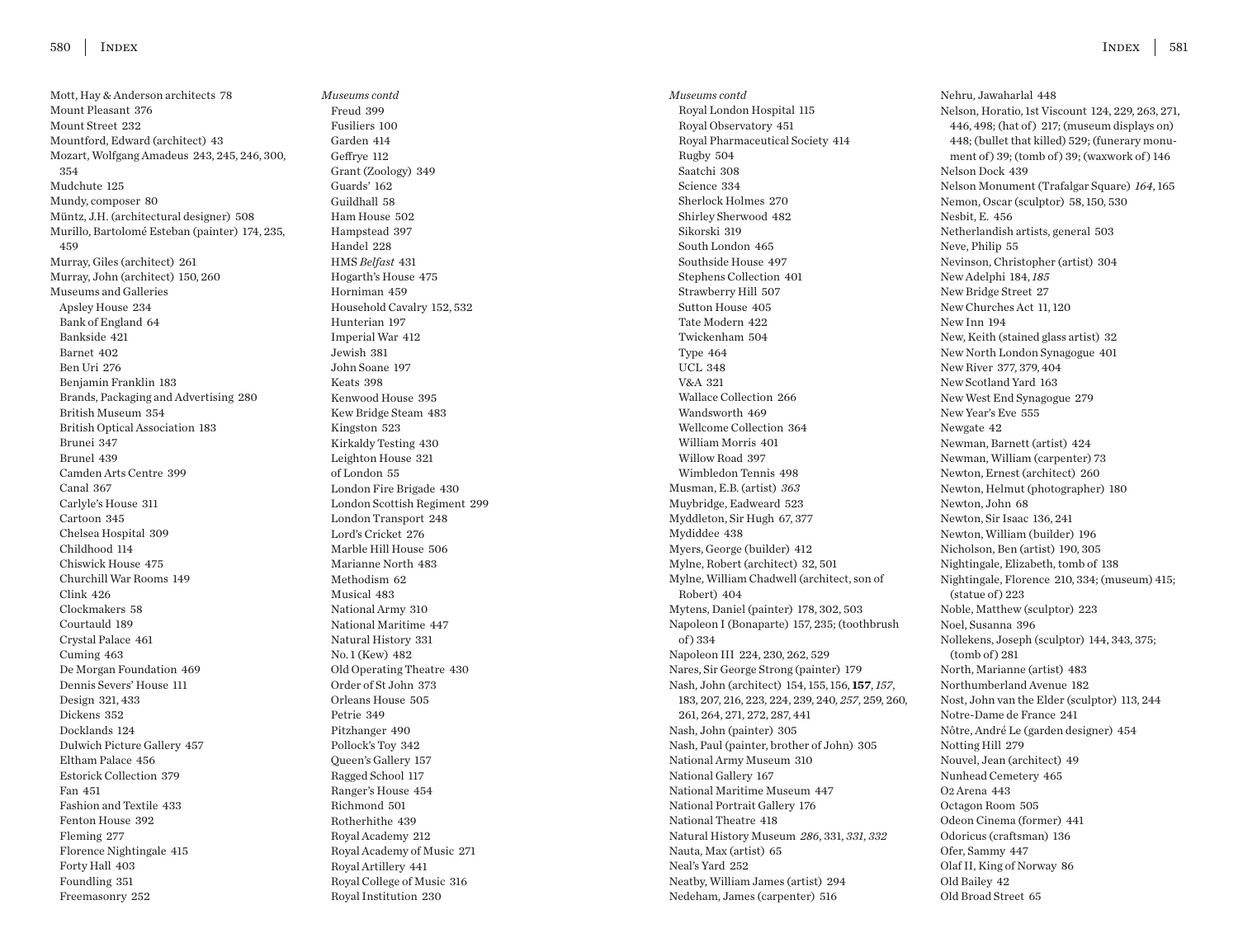Mott, Hay & Anderson architects 78 Mount Pleasant 376 Mount Street 232 Mountford, Edward (architect) 43 Mozart, Wolfgang Amadeus 243, 245, 246, 300, 354 Mudchute 125 Mundy, composer 80 Müntz, J.H. (architectural designer) 508 Murillo, Bartolomé Esteban (painter) 174, 235, 459 Murray, Giles (architect) 261 Murray, John (architect) 150, 260 Museums and Galleries Apsley House 234 Bank of England 64 Bankside 421 Barnet 402 Ben Uri 276 Benjamin Franklin 183 Brands, Packaging and Advertising 280 British Museum 354 British Optical Association 183 Brunei 347 Brunel 439 Camden Arts Centre 399 Canal 367 Carlyle's House 311 Cartoon 345 Chelsea Hospital 309 Childhood 114 Chiswick House 475 Churchill War Rooms 149 Clink 426 Clockmakers 58 Courtauld 189 Crystal Palace 461 Cuming 463 De Morgan Foundation 469 Dennis Severs' House 111 Design 321, 433 Dickens 352 Docklands 124 Dulwich Picture Gallery 457 Eltham Palace 456 Estorick Collection 379 Fan 451 Fashion and Textile 433 Fenton House 392 Fleming 277 Florence Nightingale 415 Forty Hall 403 Foundling 351 Freemasonry 252

*Museums contd* Freud 399 Fusiliers 100 Garden 414 Geffrye 112 Grant (Zoology) 349 Guards' 162 Guildhall 58 Ham House 502 Hampstead 397 Handel 228 HMS *Belfast* 431 Hogarth's House 475 Horniman 459 Household Cavalry 152, 532 Hunterian 197 Imperial War 412 Jewish 381 John Soane 197 Keats 398 Kenwood House 395 Kew Bridge Steam 483 Kingston 523 Kirkaldy Testing 430 Leighton House 321 of London 55 London Fire Brigade 430 London Scottish Regiment 299 London Transport 248 Lord's Cricket 276 Marble Hill House 506 Marianne North 483 Methodism 62 Musical 483 National Army 310 National Maritime 447 Natural History 331 No. 1 (Kew) 482 Old Operating Theatre 430 Order of St John 373 Orleans House 505 Petrie 349 Pitzhanger 490 Pollock's Toy 342 Queen's Gallery 157 Ragged School 117 Ranger's House 454 Richmond 501 Rotherhithe 439 Royal Academy 212 Royal Academy of Music 271 Royal Artillery 441 Royal College of Music 316 Royal Institution 230

*Museums contd* Royal London Hospital 115 Royal Observatory 451 Royal Pharmaceutical Society 414 Rugby 504 Saatchi 308 Science 334 Sherlock Holmes 270 Shirley Sherwood 482 Sikorski 319 South London 465 Southside House 497 Stephens Collection 401 Strawberry Hill 507 Sutton House 405 Tate Modern 422 Twickenham 504 Type 464 UCL 348 V&A 321 Wallace Collection 266 Wandsworth 469 Wellcome Collection 364 William Morris 401 Willow Road 397 Wimbledon Tennis 498 Musman, E.B. (artist) *363* Muybridge, Eadweard 523 Myddleton, Sir Hugh 67, 377 Mydiddee 438 Myers, George (builder) 412 Mylne, Robert (architect) 32, 501 Mylne, William Chadwell (architect, son of Robert) 404 Mytens, Daniel (painter) 178, 302, 503 Napoleon I (Bonaparte) 157, 235; (toothbrush of ) 334 Napoleon III 224, 230, 262, 529 Nares, Sir George Strong (painter) 179 Nash, John (architect) 154, 155, 156, **157**, *157*, 183, 207, 216, 223, 224, 239, 240, *257*, 259, 260, 261, 264, 271, 272, 287, 441 Nash, John (painter) 305 Nash, Paul (painter, brother of John) 305 National Army Museum 310 National Gallery 167 National Maritime Museum 447 National Portrait Gallery 176 National Theatre 418 Natural History Museum *286*, 331, *331*, *332* Nauta, Max (artist) 65 Neal's Yard 252 Neatby, William James (artist) 294 Nedeham, James (carpenter) 516

Nehru, Jawaharlal 448 Nelson, Horatio, 1st Viscount 124, 229, 263, 271, 446, 498; (hat of ) 217; (museum displays on) 448; (bullet that killed) 529; (funerary monument of ) 39; (tomb of ) 39; (waxwork of ) 146 Nelson Dock 439 Nelson Monument (Trafalgar Square) *164*, 165 Nemon, Oscar (sculptor) 58, 150, 530 Nesbit, E. 456 Netherlandish artists, general 503 Neve, Philip 55 Nevinson, Christopher (artist) 304 New Adelphi 184, *185* New Bridge Street 27 New Churches Act 11, 120 New Inn 194 New, Keith (stained glass artist) 32 New North London Synagogue 401 New River 377, 379, 404 New Scotland Yard 163 New West End Synagogue 279 New Year's Eve 555 Newgate 42 Newman, Barnett (artist) 424 Newman, William (carpenter) 73 Newton, Ernest (architect) 260 Newton, Helmut (photographer) 180 Newton, John 68 Newton, Sir Isaac 136, 241 Newton, William (builder) 196 Nicholson, Ben (artist) 190, 305 Nightingale, Elizabeth, tomb of 138 Nightingale, Florence 210, 334; (museum) 415;  $(statue of) 223$ Noble, Matthew (sculptor) 223 Noel, Susanna 396 Nollekens, Joseph (sculptor) 144, 343, 375;  $(tomb of) 281$ North, Marianne (artist) 483 Northumberland Avenue 182 Nost, John van the Elder (sculptor) 113, 244 Notre-Dame de France 241 Nôtre, André Le (garden designer) 454 Notting Hill 279 Nouvel, Jean (architect) 49 Nunhead Cemetery 465 O2 Arena 443 Octagon Room 505 Odeon Cinema (former) 441 Odoricus (craftsman) 136 Ofer, Sammy 447 Olaf II, King of Norway 86 Old Bailey 42 Old Broad Street 65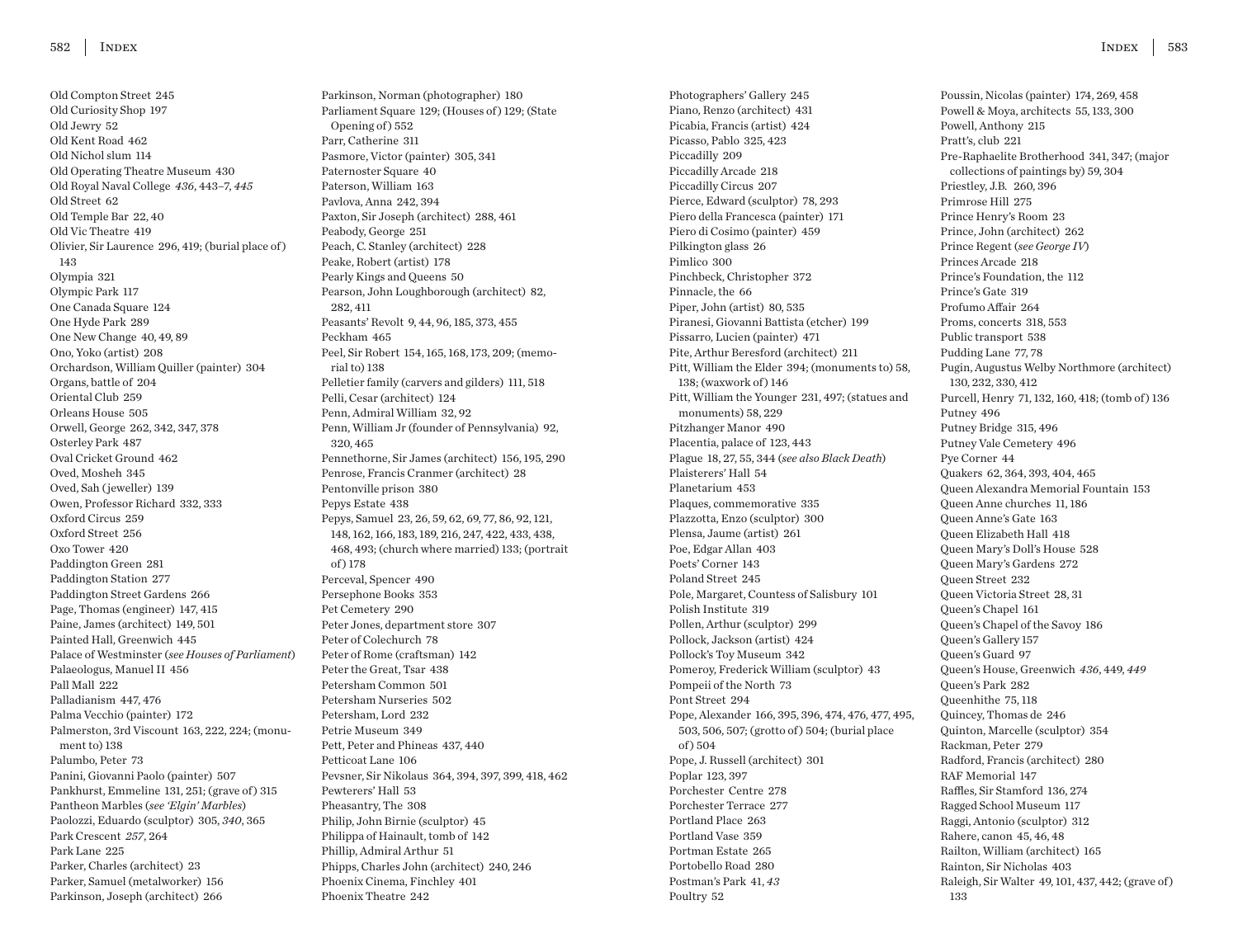Old Compton Street 245 Old Curiosity Shop 197 Old Jewry 52 Old Kent Road 462 Old Nichol slum 114 Old Operating Theatre Museum 430 Old Royal Naval College *436*, 443–7, *445* Old Street 62 Old Temple Bar 22, 40 Old Vic Theatre 419 Olivier, Sir Laurence 296, 419; (burial place of ) 143 Olympia 321 Olympic Park 117 One Canada Square 124 One Hyde Park 289 One New Change 40, 49, 89 Ono, Yoko (artist) 208 Orchardson, William Quiller (painter) 304 Organs, battle of 204 Oriental Club 259 Orleans House 505 Orwell, George 262, 342, 347, 378 Osterley Park 487 Oval Cricket Ground 462 Oved, Mosheh 345 Oved, Sah ( jeweller) 139 Owen, Professor Richard 332, 333 Oxford Circus 259 Oxford Street 256 Oxo Tower 420 Paddington Green 281 Paddington Station 277 Paddington Street Gardens 266 Page, Thomas (engineer) 147, 415 Paine, James (architect) 149, 501 Painted Hall, Greenwich 445 Palace of Westminster (*see Houses of Parliament*) Palaeologus, Manuel II 456 Pall Mall 222 Palladianism 447, 476 Palma Vecchio (painter) 172 Palmerston, 3rd Viscount 163, 222, 224; (monument to) 138 Palumbo, Peter 73 Panini, Giovanni Paolo (painter) 507 Pankhurst, Emmeline 131, 251; (grave of) 315 Pantheon Marbles (*see 'Elgin' Marbles*) Paolozzi, Eduardo (sculptor) 305, *340*, 365 Park Crescent *257*, 264 Park Lane 225 Parker, Charles (architect) 23 Parker, Samuel (metalworker) 156 Parkinson, Joseph (architect) 266

Parkinson, Norman (photographer) 180 Parliament Square 129; (Houses of) 129; (State Opening of ) 552 Parr, Catherine 311 Pasmore, Victor (painter) 305, 341 Paternoster Square 40 Paterson, William 163 Pavlova, Anna 242, 394 Paxton, Sir Joseph (architect) 288, 461 Peabody, George 251 Peach, C. Stanley (architect) 228 Peake, Robert (artist) 178 Pearly Kings and Queens 50 Pearson, John Loughborough (architect) 82, 282, 411 Peasants' Revolt 9, 44, 96, 185, 373, 455 Peckham 465 Peel, Sir Robert 154, 165, 168, 173, 209; (memorial to) 138 Pelletier family (carvers and gilders) 111, 518 Pelli, Cesar (architect) 124 Penn, Admiral William 32, 92 Penn, William Jr (founder of Pennsylvania) 92, 320, 465 Pennethorne, Sir James (architect) 156, 195, 290 Penrose, Francis Cranmer (architect) 28 Pentonville prison 380 Pepys Estate 438 Pepys, Samuel 23, 26, 59, 62, 69, 77, 86, 92, 121, 148, 162, 166, 183, 189, 216, 247, 422, 433, 438, 468, 493; (church where married) 133; (portrait of ) 178 Perceval, Spencer 490 Persephone Books 353 Pet Cemetery 290 Peter Jones, department store 307 Peter of Colechurch 78 Peter of Rome (craftsman) 142 Peter the Great, Tsar 438 Petersham Common 501 Petersham Nurseries 502 Petersham, Lord 232 Petrie Museum 349 Pett, Peter and Phineas 437, 440 Petticoat Lane 106 Pevsner, Sir Nikolaus 364, 394, 397, 399, 418, 462 Pewterers' Hall 53 Pheasantry, The 308 Philip, John Birnie (sculptor) 45 Philippa of Hainault, tomb of 142 Phillip, Admiral Arthur 51 Phipps, Charles John (architect) 240, 246 Phoenix Cinema, Finchley 401 Phoenix Theatre 242

Photographers' Gallery 245 Piano, Renzo (architect) 431 Picabia, Francis (artist) 424 Picasso, Pablo 325, 423 Piccadilly 209 Piccadilly Arcade 218 Piccadilly Circus 207 Pierce, Edward (sculptor) 78, 293 Piero della Francesca (painter) 171 Piero di Cosimo (painter) 459 Pilkington glass 26 Pimlico 300 Pinchbeck, Christopher 372 Pinnacle, the 66 Piper, John (artist) 80, 535 Piranesi, Giovanni Battista (etcher) 199 Pissarro, Lucien (painter) 471 Pite, Arthur Beresford (architect) 211 Pitt, William the Elder 394; (monuments to) 58, 138; (waxwork of ) 146 Pitt, William the Younger 231, 497; (statues and monuments) 58, 229 Pitzhanger Manor 490 Placentia, palace of 123, 443 Plague 18, 27, 55, 344 (*see also Black Death*) Plaisterers' Hall 54 Planetarium 453 Plaques, commemorative 335 Plazzotta, Enzo (sculptor) 300 Plensa, Jaume (artist) 261 Poe, Edgar Allan 403 Poets' Corner 143 Poland Street 245 Pole, Margaret, Countess of Salisbury 101 Polish Institute 319 Pollen, Arthur (sculptor) 299 Pollock, Jackson (artist) 424 Pollock's Toy Museum 342 Pomeroy, Frederick William (sculptor) 43 Pompeii of the North 73 Pont Street 294 Pope, Alexander 166, 395, 396, 474, 476, 477, 495, 503, 506, 507; (grotto of ) 504; (burial place of ) 504 Pope, J. Russell (architect) 301 Poplar 123, 397 Porchester Centre 278 Porchester Terrace 277 Portland Place 263 Portland Vase 359 Portman Estate 265 Portobello Road 280 Postman's Park 41, *43* Poultry 52

Poussin, Nicolas (painter) 174, 269, 458 Powell & Moya, architects 55, 133, 300 Powell, Anthony 215 Pratt's, club 221 Pre-Raphaelite Brotherhood 341, 347; (major collections of paintings by) 59, 304 Priestley, J.B. 260, 396 Primrose Hill 275 Prince Henry's Room 23 Prince, John (architect) 262 Prince Regent (*see George IV*) Princes Arcade 218 Prince's Foundation, the 112 Prince's Gate 319 Profumo Affair 264 Proms, concerts 318, 553 Public transport 538 Pudding Lane 77, 78 Pugin, Augustus Welby Northmore (architect) 130, 232, 330, 412 Purcell, Henry 71, 132, 160, 418; (tomb of ) 136 Putney 496 Putney Bridge 315, 496 Putney Vale Cemetery 496 Pye Corner 44 Quakers 62, 364, 393, 404, 465 Queen Alexandra Memorial Fountain 153 Queen Anne churches 11, 186 Queen Anne's Gate 163 Queen Elizabeth Hall 418 Queen Mary's Doll's House 528 Queen Mary's Gardens 272 Queen Street 232 Queen Victoria Street 28, 31 Queen's Chapel 161 Queen's Chapel of the Savoy 186 Queen's Gallery 157 Queen's Guard 97 Queen's House, Greenwich *436*, 449, *449* Queen's Park 282 Queenhithe 75, 118 Quincey, Thomas de 246 Quinton, Marcelle (sculptor) 354 Rackman, Peter 279 Radford, Francis (architect) 280 RAF Memorial 147 Raffles, Sir Stamford 136, 274 Ragged School Museum 117 Raggi, Antonio (sculptor) 312 Rahere, canon 45, 46, 48 Railton, William (architect) 165 Rainton, Sir Nicholas 403 Raleigh, Sir Walter 49, 101, 437, 442; (grave of ) 133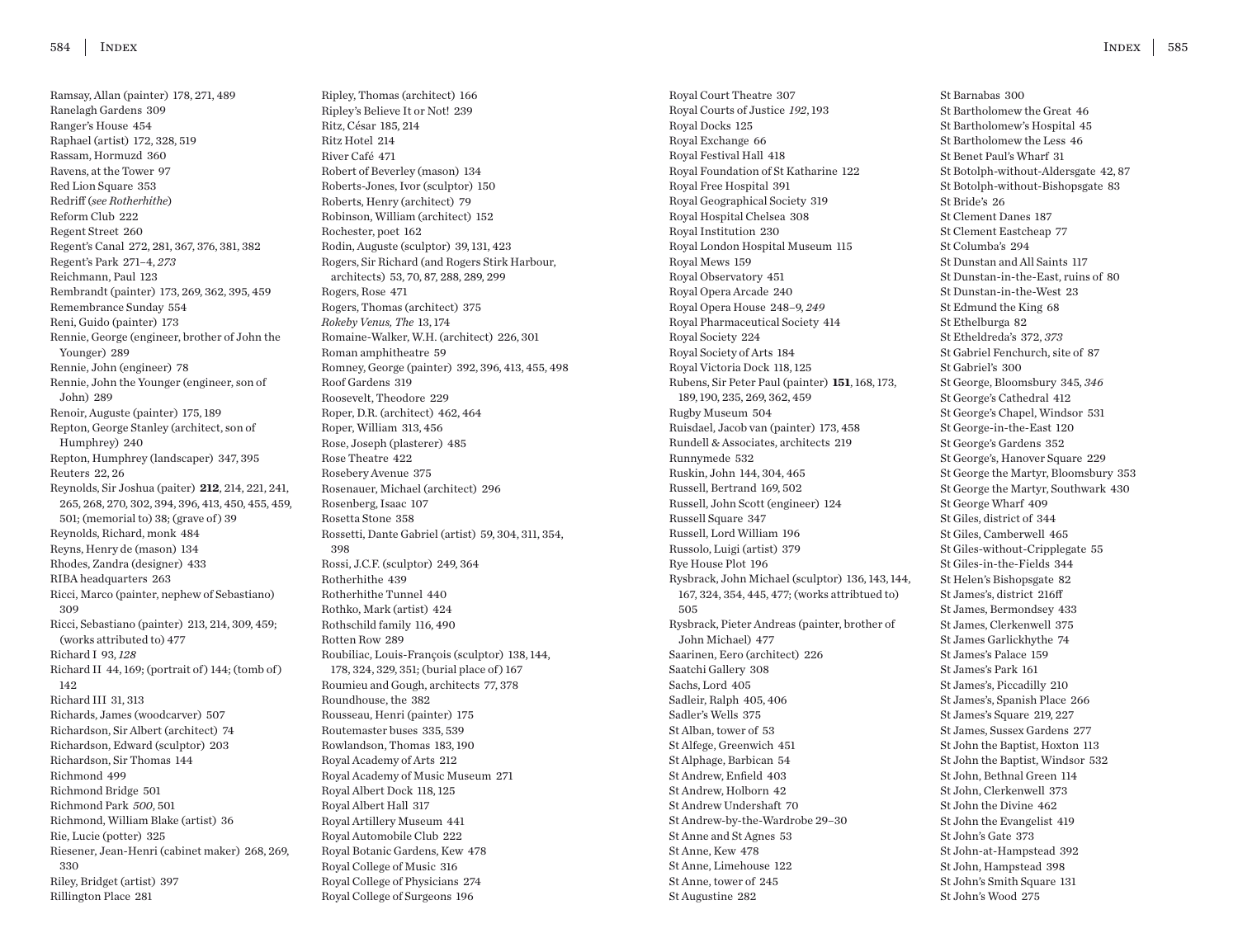Ramsay, Allan (painter) 178, 271, 489 Ranelagh Gardens 309 Ranger's House 454 Raphael (artist) 172, 328, 519 Rassam, Hormuzd 360 Ravens, at the Tower 97 Red Lion Square 353 Redriff (*see Rotherhithe*) Reform Club 222 Regent Street 260 Regent's Canal 272, 281, 367, 376, 381, 382 Regent's Park 271–4, *273* Reichmann, Paul 123 Rembrandt (painter) 173, 269, 362, 395, 459 Remembrance Sunday 554 Reni, Guido (painter) 173 Rennie, George (engineer, brother of John the Younger) 289 Rennie, John (engineer) 78 Rennie, John the Younger (engineer, son of John) 289 Renoir, Auguste (painter) 175, 189 Repton, George Stanley (architect, son of Humphrey) 240 Repton, Humphrey (landscaper) 347, 395 Reuters 22, 26 Reynolds, Sir Joshua (paiter) **212**, 214, 221, 241, 265, 268, 270, 302, 394, 396, 413, 450, 455, 459, 501; (memorial to) 38; (grave of ) 39 Reynolds, Richard, monk 484 Reyns, Henry de (mason) 134 Rhodes, Zandra (designer) 433 RIBA headquarters 263 Ricci, Marco (painter, nephew of Sebastiano) 309 Ricci, Sebastiano (painter) 213, 214, 309, 459; (works attributed to) 477 Richard I 93, *128* Richard II 44, 169; (portrait of) 144; (tomb of) 142 Richard III 31, 313 Richards, James (woodcarver) 507 Richardson, Sir Albert (architect) 74 Richardson, Edward (sculptor) 203 Richardson, Sir Thomas 144 Richmond 499 Richmond Bridge 501 Richmond Park *500*, 501 Richmond, William Blake (artist) 36 Rie, Lucie (potter) 325 Riesener, Jean-Henri (cabinet maker) 268, 269, 330 Riley, Bridget (artist) 397 Rillington Place 281

Ripley, Thomas (architect) 166 Ripley's Believe It or Not! 239 Ritz, César 185, 214 Ritz Hotel 214 River Café 471 Robert of Beverley (mason) 134 Roberts-Jones, Ivor (sculptor) 150 Roberts, Henry (architect) 79 Robinson, William (architect) 152 Rochester, poet 162 Rodin, Auguste (sculptor) 39, 131, 423 Rogers, Sir Richard (and Rogers Stirk Harbour, architects) 53, 70, 87, 288, 289, 299 Rogers, Rose 471 Rogers, Thomas (architect) 375 *Rokeby Venus, The* 13, 174 Romaine-Walker, W.H. (architect) 226, 301 Roman amphitheatre 59 Romney, George (painter) 392, 396, 413, 455, 498 Roof Gardens 319 Roosevelt, Theodore 229 Roper, D.R. (architect) 462, 464 Roper, William 313, 456 Rose, Joseph (plasterer) 485 Rose Theatre 422 Rosebery Avenue 375 Rosenauer, Michael (architect) 296 Rosenberg, Isaac 107 Rosetta Stone 358 Rossetti, Dante Gabriel (artist) 59, 304, 311, 354, 398 Rossi, J.C.F. (sculptor) 249, 364 Rotherhithe 439 Rotherhithe Tunnel 440 Rothko, Mark (artist) 424 Rothschild family 116, 490 Rotten Row 289 Roubiliac, Louis-François (sculptor) 138, 144, 178, 324, 329, 351; (burial place of ) 167 Roumieu and Gough, architects 77, 378 Roundhouse, the 382 Rousseau, Henri (painter) 175 Routemaster buses 335, 539 Rowlandson, Thomas 183, 190 Royal Academy of Arts 212 Royal Academy of Music Museum 271 Royal Albert Dock 118, 125 Royal Albert Hall 317 Royal Artillery Museum 441 Royal Automobile Club 222 Royal Botanic Gardens, Kew 478 Royal College of Music 316 Royal College of Physicians 274 Royal College of Surgeons 196

Royal Court Theatre 307 Royal Courts of Justice *192*, 193 Royal Docks 125 Royal Exchange 66 Royal Festival Hall 418 Royal Foundation of St Katharine 122 Royal Free Hospital 391 Royal Geographical Society 319 Royal Hospital Chelsea 308 Royal Institution 230 Royal London Hospital Museum 115 Royal Mews 159 Royal Observatory 451 Royal Opera Arcade 240 Royal Opera House 248–9, *249* Royal Pharmaceutical Society 414 Royal Society 224 Royal Society of Arts 184 Royal Victoria Dock 118, 125 Rubens, Sir Peter Paul (painter) **151**, 168, 173, 189, 190, 235, 269, 362, 459 Rugby Museum 504 Ruisdael, Jacob van (painter) 173, 458 Rundell & Associates, architects 219 Runnymede 532 Ruskin, John 144, 304, 465 Russell, Bertrand 169, 502 Russell, John Scott (engineer) 124 Russell Square 347 Russell, Lord William 196 Russolo, Luigi (artist) 379 Rye House Plot 196 Rysbrack, John Michael (sculptor) 136, 143, 144, 167, 324, 354, 445, 477; (works attribtued to) 505 Rysbrack, Pieter Andreas (painter, brother of John Michael) 477 Saarinen, Eero (architect) 226 Saatchi Gallery 308 Sachs, Lord 405 Sadleir, Ralph 405, 406 Sadler's Wells 375 St Alban, tower of 53 St Alfege, Greenwich 451 St Alphage, Barbican 54 St Andrew, Enfield 403 St Andrew, Holborn 42 St Andrew Undershaft 70 St Andrew-by-the-Wardrobe 29–30 St Anne and St Agnes 53 St Anne, Kew 478 St Anne, Limehouse 122 St Anne, tower of 245 St Augustine 282

St Barnabas 300 St Bartholomew the Great 46 St Bartholomew's Hospital 45 St Bartholomew the Less 46 St Benet Paul's Wharf 31 St Botolph-without-Aldersgate 42, 87 St Botolph-without-Bishopsgate 83 St Bride's 26 St Clement Danes 187 St Clement Eastcheap 77 St Columba's 294 St Dunstan and All Saints 117 St Dunstan-in-the-East, ruins of 80 St Dunstan-in-the-West 23 St Edmund the King 68 St Ethelburga 82 St Etheldreda's 372, *373* St Gabriel Fenchurch, site of 87 St Gabriel's 300 St George, Bloomsbury 345, *346* St George's Cathedral 412 St George's Chapel, Windsor 531 St George-in-the-East 120 St George's Gardens 352 St George's, Hanover Square 229 St George the Martyr, Bloomsbury 353 St George the Martyr, Southwark 430 St George Wharf 409 St Giles, district of 344 St Giles, Camberwell 465 St Giles-without-Cripplegate 55 St Giles-in-the-Fields 344 St Helen's Bishopsgate 82 St James's, district 216ff St James, Bermondsey 433 St James, Clerkenwell 375 St James Garlickhythe 74 St James's Palace 159 St James's Park 161 St James's, Piccadilly 210 St James's, Spanish Place 266 St James's Square 219, 227 St James, Sussex Gardens 277 St John the Baptist, Hoxton 113 St John the Baptist, Windsor 532 St John, Bethnal Green 114 St John, Clerkenwell 373 St John the Divine 462 St John the Evangelist 419 St John's Gate 373 St John-at-Hampstead 392 St John, Hampstead 398 St John's Smith Square 131 St John's Wood 275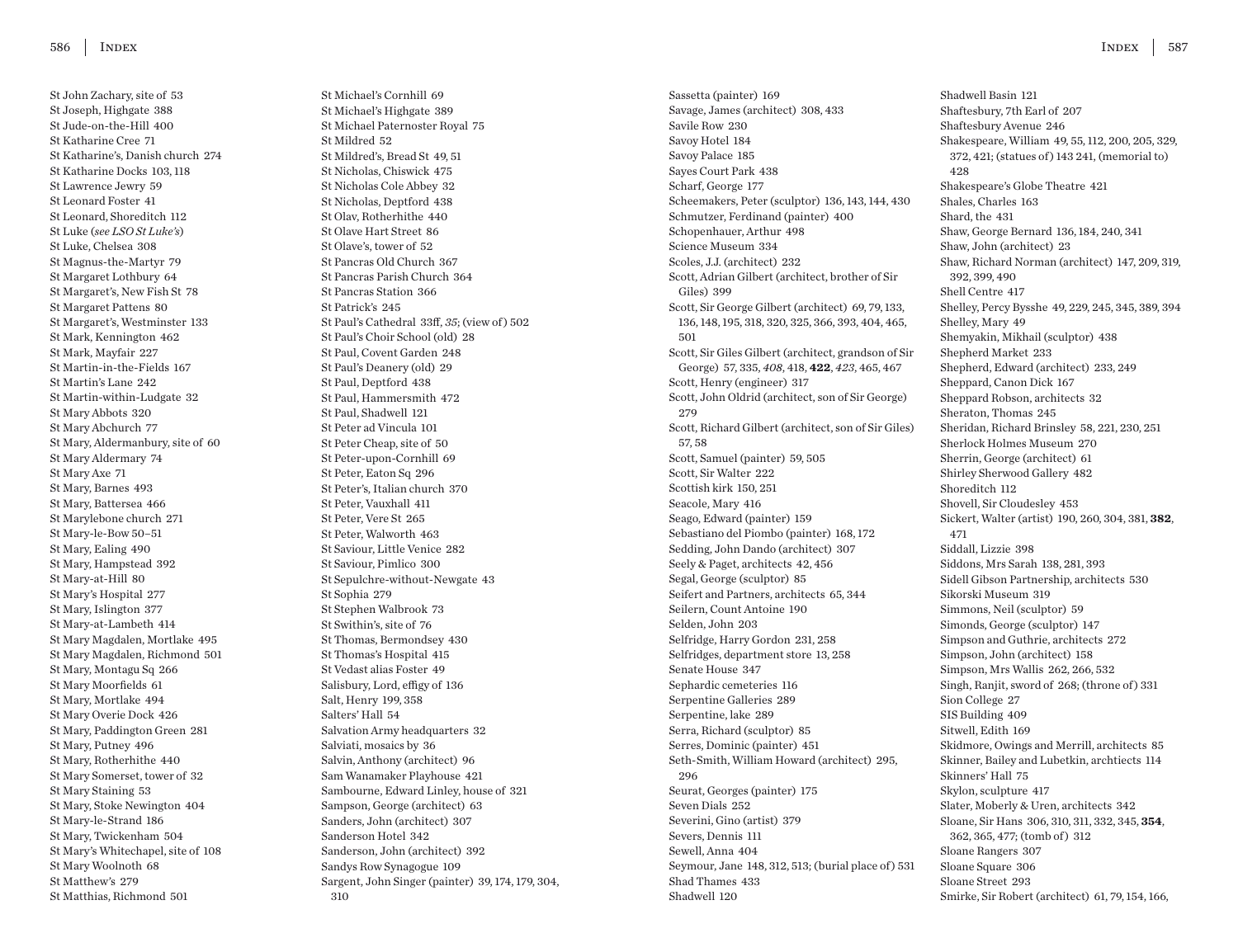St John Zachary, site of 53 St Joseph, Highgate 388 St Jude-on-the-Hill 400 St Katharine Cree 71 St Katharine's, Danish church 274 St Katharine Docks 103, 118 St Lawrence Jewry 59 St Leonard Foster 41 St Leonard, Shoreditch 112 St Luke (*see LSO St Luke's*) St Luke, Chelsea 308 St Magnus-the-Martyr 79 St Margaret Lothbury 64 St Margaret's, New Fish St 78 St Margaret Pattens 80 St Margaret's, Westminster 133 St Mark, Kennington 462 St Mark, Mayfair 227 St Martin-in-the-Fields 167 St Martin's Lane 242 St Martin-within-Ludgate 32 St Mary Abbots 320 St Mary Abchurch 77 St Mary, Aldermanbury, site of 60 St Mary Aldermary 74 St Mary Axe 71 St Mary, Barnes 493 St Mary, Battersea 466 St Marylebone church 271 St Mary-le-Bow 50–51 St Mary, Ealing 490 St Mary, Hampstead 392 St Mary-at-Hill 80 St Mary's Hospital 277 St Mary, Islington 377 St Mary-at-Lambeth 414 St Mary Magdalen, Mortlake 495 St Mary Magdalen, Richmond 501 St Mary, Montagu Sq 266 St Mary Moorfields 61 St Mary, Mortlake 494 St Mary Overie Dock 426 St Mary, Paddington Green 281 St Mary, Putney 496 St Mary, Rotherhithe 440 St Mary Somerset, tower of 32 St Mary Staining 53 St Mary, Stoke Newington 404 St Mary-le-Strand 186 St Mary, Twickenham 504 St Mary's Whitechapel, site of 108 St Mary Woolnoth 68 St Matthew's 279 St Matthias, Richmond 501

St Michael's Cornhill 69 St Michael's Highgate 389 St Michael Paternoster Royal 75 St Mildred 52 St Mildred's, Bread St 49, 51 St Nicholas, Chiswick 475 St Nicholas Cole Abbey 32 St Nicholas, Deptford 438 St Olav, Rotherhithe 440 St Olave Hart Street 86 St Olave's, tower of 52 St Pancras Old Church 367 St Pancras Parish Church 364 St Pancras Station 366 St Patrick's 245 St Paul's Cathedral 33ff, *35*; (view of ) 502 St Paul's Choir School (old) 28 St Paul, Covent Garden 248 St Paul's Deanery (old) 29 St Paul, Deptford 438 St Paul, Hammersmith 472 St Paul, Shadwell 121 St Peter ad Vincula 101 St Peter Cheap, site of 50 St Peter-upon-Cornhill 69 St Peter, Eaton Sq 296 St Peter's, Italian church 370 St Peter, Vauxhall 411 St Peter, Vere St 265 St Peter, Walworth 463 St Saviour, Little Venice 282 St Saviour, Pimlico 300 St Sepulchre-without-Newgate 43 St Sophia 279 St Stephen Walbrook 73 St Swithin's, site of 76 St Thomas, Bermondsey 430 St Thomas's Hospital 415 St Vedast alias Foster 49 Salisbury, Lord, effigy of 136 Salt, Henry 199, 358 Salters' Hall 54 Salvation Army headquarters 32 Salviati, mosaics by 36 Salvin, Anthony (architect) 96 Sam Wanamaker Playhouse 421 Sambourne, Edward Linley, house of 321 Sampson, George (architect) 63 Sanders, John (architect) 307 Sanderson Hotel 342 Sanderson, John (architect) 392 Sandys Row Synagogue 109 Sargent, John Singer (painter) 39, 174, 179, 304, 310

Sassetta (painter) 169 Savage, James (architect) 308, 433 Savile Row 230 Savoy Hotel 184 Savoy Palace 185 Sayes Court Park 438 Scharf, George 177 Scheemakers, Peter (sculptor) 136, 143, 144, 430 Schmutzer, Ferdinand (painter) 400 Schopenhauer, Arthur 498 Science Museum 334 Scoles, J.J. (architect) 232 Scott, Adrian Gilbert (architect, brother of Sir Giles) 399 Scott, Sir George Gilbert (architect) 69, 79, 133, 136, 148, 195, 318, 320, 325, 366, 393, 404, 465, 501 Scott, Sir Giles Gilbert (architect, grandson of Sir George) 57, 335, *408*, 418, **422**, *423*, 465, 467 Scott, Henry (engineer) 317 Scott, John Oldrid (architect, son of Sir George) 279 Scott, Richard Gilbert (architect, son of Sir Giles) 57, 58 Scott, Samuel (painter) 59, 505 Scott, Sir Walter 222 Scottish kirk 150, 251 Seacole, Mary 416 Seago, Edward (painter) 159 Sebastiano del Piombo (painter) 168, 172 Sedding, John Dando (architect) 307 Seely & Paget, architects 42, 456 Segal, George (sculptor) 85 Seifert and Partners, architects 65, 344 Seilern, Count Antoine 190 Selden, John 203 Selfridge, Harry Gordon 231, 258 Selfridges, department store 13, 258 Senate House 347 Sephardic cemeteries 116 Serpentine Galleries 289 Serpentine, lake 289 Serra, Richard (sculptor) 85 Serres, Dominic (painter) 451 Seth-Smith, William Howard (architect) 295, 296 Seurat, Georges (painter) 175 Seven Dials 252 Severini, Gino (artist) 379 Severs, Dennis 111 Sewell, Anna 404 Seymour, Jane 148, 312, 513; (burial place of ) 531 Shad Thames 433 Shadwell 120

Shadwell Basin 121 Shaftesbury, 7th Earl of 207 Shaftesbury Avenue 246 Shakespeare, William 49, 55, 112, 200, 205, 329, 372, 421; (statues of ) 143 241, (memorial to) 428 Shakespeare's Globe Theatre 421 Shales, Charles 163 Shard, the 431 Shaw, George Bernard 136, 184, 240, 341 Shaw, John (architect) 23 Shaw, Richard Norman (architect) 147, 209, 319, 392, 399, 490 Shell Centre 417 Shelley, Percy Bysshe 49, 229, 245, 345, 389, 394 Shelley, Mary 49 Shemyakin, Mikhail (sculptor) 438 Shepherd Market 233 Shepherd, Edward (architect) 233, 249 Sheppard, Canon Dick 167 Sheppard Robson, architects 32 Sheraton, Thomas 245 Sheridan, Richard Brinsley 58, 221, 230, 251 Sherlock Holmes Museum 270 Sherrin, George (architect) 61 Shirley Sherwood Gallery 482 Shoreditch 112 Shovell, Sir Cloudesley 453 Sickert, Walter (artist) 190, 260, 304, 381, **382**, 471 Siddall, Lizzie 398 Siddons, Mrs Sarah 138, 281, 393 Sidell Gibson Partnership, architects 530 Sikorski Museum 319 Simmons, Neil (sculptor) 59 Simonds, George (sculptor) 147 Simpson and Guthrie, architects 272 Simpson, John (architect) 158 Simpson, Mrs Wallis 262, 266, 532 Singh, Ranjit, sword of 268; (throne of ) 331 Sion College 27 SIS Building 409 Sitwell, Edith 169 Skidmore, Owings and Merrill, architects 85 Skinner, Bailey and Lubetkin, archtiects 114 Skinners' Hall 75 Skylon, sculpture 417 Slater, Moberly & Uren, architects 342 Sloane, Sir Hans 306, 310, 311, 332, 345, **354**, 362, 365, 477; (tomb of ) 312 Sloane Rangers 307 Sloane Square 306 Sloane Street 293 Smirke, Sir Robert (architect) 61, 79, 154, 166,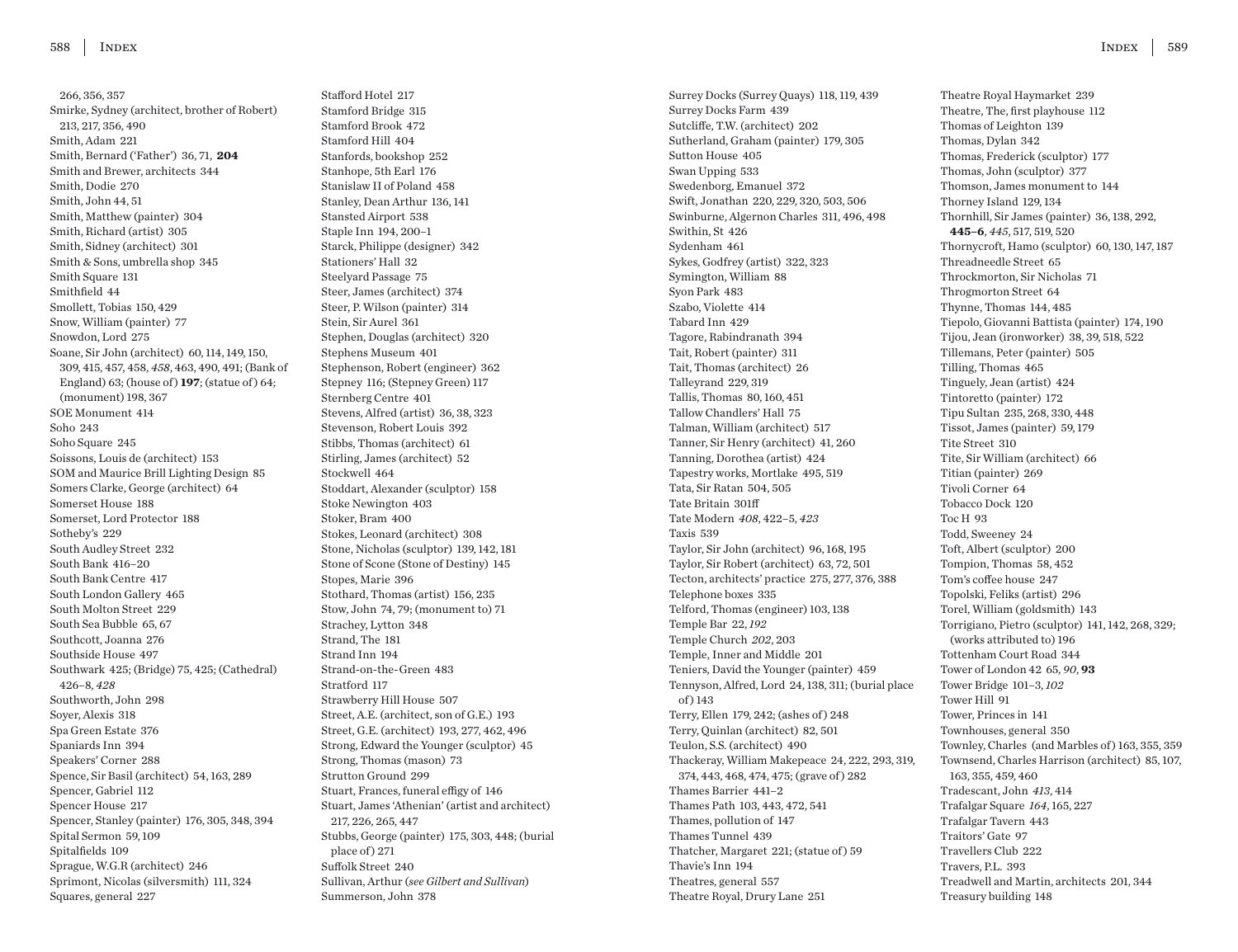266, 356, 357 Smirke, Sydney (architect, brother of Robert) 213, 217, 356, 490 Smith, Adam 221 Smith, Bernard ('Father') 36, 71, **204** Smith and Brewer, architects 344 Smith, Dodie 270 Smith, John 44, 51 Smith, Matthew (painter) 304 Smith, Richard (artist) 305 Smith, Sidney (architect) 301 Smith & Sons, umbrella shop 345 Smith Square 131 Smithfield 44 Smollett, Tobias 150, 429 Snow, William (painter) 77 Snowdon, Lord 275 Soane, Sir John (architect) 60, 114, 149, 150, 309, 415, 457, 458, *458*, 463, 490, 491; (Bank of England) 63; (house of) **197**; (statue of) 64; (monument) 198, 367 SOE Monument 414 Soho 243 Soho Square 245 Soissons, Louis de (architect) 153 SOM and Maurice Brill Lighting Design 85 Somers Clarke, George (architect) 64 Somerset House 188 Somerset, Lord Protector 188 Sotheby's 229 South Audley Street 232 South Bank 416–20 South Bank Centre 417 South London Gallery 465 South Molton Street 229 South Sea Bubble 65, 67 Southcott, Joanna 276 Southside House 497 Southwark 425; (Bridge) 75, 425; (Cathedral) 426–8, *428* Southworth, John 298 Soyer, Alexis 318 Spa Green Estate 376 Spaniards Inn 394 Speakers' Corner 288 Spence, Sir Basil (architect) 54, 163, 289 Spencer, Gabriel 112 Spencer House 217 Spencer, Stanley (painter) 176, 305, 348, 394 Spital Sermon 59, 109 Spitalfields 109 Sprague, W.G.R (architect) 246 Sprimont, Nicolas (silversmith) 111, 324 Squares, general 227

Stafford Hotel 217 Stamford Bridge 315 Stamford Brook 472 Stamford Hill 404 Stanfords, bookshop 252 Stanhope, 5th Earl 176 Stanislaw II of Poland 458 Stanley, Dean Arthur 136, 141 Stansted Airport 538 Staple Inn 194, 200–1 Starck, Philippe (designer) 342 Stationers' Hall 32 Steelyard Passage 75 Steer, James (architect) 374 Steer, P. Wilson (painter) 314 Stein, Sir Aurel 361 Stephen, Douglas (architect) 320 Stephens Museum 401 Stephenson, Robert (engineer) 362 Stepney 116; (Stepney Green) 117 Sternberg Centre 401 Stevens, Alfred (artist) 36, 38, 323 Stevenson, Robert Louis 392 Stibbs, Thomas (architect) 61 Stirling, James (architect) 52 Stockwell 464 Stoddart, Alexander (sculptor) 158 Stoke Newington 403 Stoker, Bram 400 Stokes, Leonard (architect) 308 Stone, Nicholas (sculptor) 139, 142, 181 Stone of Scone (Stone of Destiny) 145 Stopes, Marie 396 Stothard, Thomas (artist) 156, 235 Stow, John 74, 79; (monument to) 71 Strachey, Lytton 348 Strand, The 181 Strand Inn 194 Strand-on-the-Green 483 Stratford 117 Strawberry Hill House 507 Street, A.E. (architect, son of G.E.) 193 Street, G.E. (architect) 193, 277, 462, 496 Strong, Edward the Younger (sculptor) 45 Strong, Thomas (mason) 73 Strutton Ground 299 Stuart, Frances, funeral effigy of 146 Stuart, James 'Athenian' (artist and architect) 217, 226, 265, 447 Stubbs, George (painter) 175, 303, 448; (burial place of ) 271 Suffolk Street 240 Sullivan, Arthur (*see Gilbert and Sullivan*) Summerson, John 378

Surrey Docks (Surrey Quays) 118, 119, 439 Surrey Docks Farm 439 Sutcliffe, T.W. (architect) 202 Sutherland, Graham (painter) 179, 305 Sutton House 405 Swan Upping 533 Swedenborg, Emanuel 372 Swift, Jonathan 220, 229, 320, 503, 506 Swinburne, Algernon Charles 311, 496, 498 Swithin, St 426 Sydenham 461 Sykes, Godfrey (artist) 322, 323 Symington, William 88 Syon Park 483 Szabo, Violette 414 Tabard Inn 429 Tagore, Rabindranath 394 Tait, Robert (painter) 311 Tait, Thomas (architect) 26 Talleyrand 229, 319 Tallis, Thomas 80, 160, 451 Tallow Chandlers' Hall 75 Talman, William (architect) 517 Tanner, Sir Henry (architect) 41, 260 Tanning, Dorothea (artist) 424 Tapestry works, Mortlake 495, 519 Tata, Sir Ratan 504, 505 Tate Britain 301ff Tate Modern *408*, 422–5, *423* Taxis 539 Taylor, Sir John (architect) 96, 168, 195 Taylor, Sir Robert (architect) 63, 72, 501 Tecton, architects' practice 275, 277, 376, 388 Telephone boxes 335 Telford, Thomas (engineer) 103, 138 Temple Bar 22, *192* Temple Church *202*, 203 Temple, Inner and Middle 201 Teniers, David the Younger (painter) 459 Tennyson, Alfred, Lord 24, 138, 311; (burial place of ) 143 Terry, Ellen 179, 242; (ashes of ) 248 Terry, Quinlan (architect) 82, 501 Teulon, S.S. (architect) 490 Thackeray, William Makepeace 24, 222, 293, 319, 374, 443, 468, 474, 475; (grave of ) 282 Thames Barrier 441–2 Thames Path 103, 443, 472, 541 Thames, pollution of 147 Thames Tunnel 439 Thatcher, Margaret 221; (statue of ) 59 Thavie's Inn 194 Theatres, general 557 Theatre Royal, Drury Lane 251

Theatre Royal Haymarket 239 Theatre, The, first playhouse 112 Thomas of Leighton 139 Thomas, Dylan 342 Thomas, Frederick (sculptor) 177 Thomas, John (sculptor) 377 Thomson, James monument to 144 Thorney Island 129, 134 Thornhill, Sir James (painter) 36, 138, 292, **445–6**, *445*, 517, 519, 520 Thornycroft, Hamo (sculptor) 60, 130, 147, 187 Threadneedle Street 65 Throckmorton, Sir Nicholas 71 Throgmorton Street 64 Thynne, Thomas 144, 485 Tiepolo, Giovanni Battista (painter) 174, 190 Tijou, Jean (ironworker) 38, 39, 518, 522 Tillemans, Peter (painter) 505 Tilling, Thomas 465 Tinguely, Jean (artist) 424 Tintoretto (painter) 172 Tipu Sultan 235, 268, 330, 448 Tissot, James (painter) 59, 179 Tite Street 310 Tite, Sir William (architect) 66 Titian (painter) 269 Tivoli Corner 64 Tobacco Dock 120 Toc H 93 Todd, Sweeney 24 Toft, Albert (sculptor) 200 Tompion, Thomas 58, 452 Tom's coffee house 247 Topolski, Feliks (artist) 296 Torel, William (goldsmith) 143 Torrigiano, Pietro (sculptor) 141, 142, 268, 329; (works attributed to) 196 Tottenham Court Road 344 Tower of London 42 65, *90*, **93** Tower Bridge 101–3, *102* Tower Hill 91 Tower, Princes in 141 Townhouses, general 350 Townley, Charles (and Marbles of ) 163, 355, 359 Townsend, Charles Harrison (architect) 85, 107, 163, 355, 459, 460 Tradescant, John *413*, 414 Trafalgar Square *164*, 165, 227 Trafalgar Tavern 443 Traitors' Gate 97 Travellers Club 222 Travers, P.L. 393 Treadwell and Martin, architects 201, 344 Treasury building 148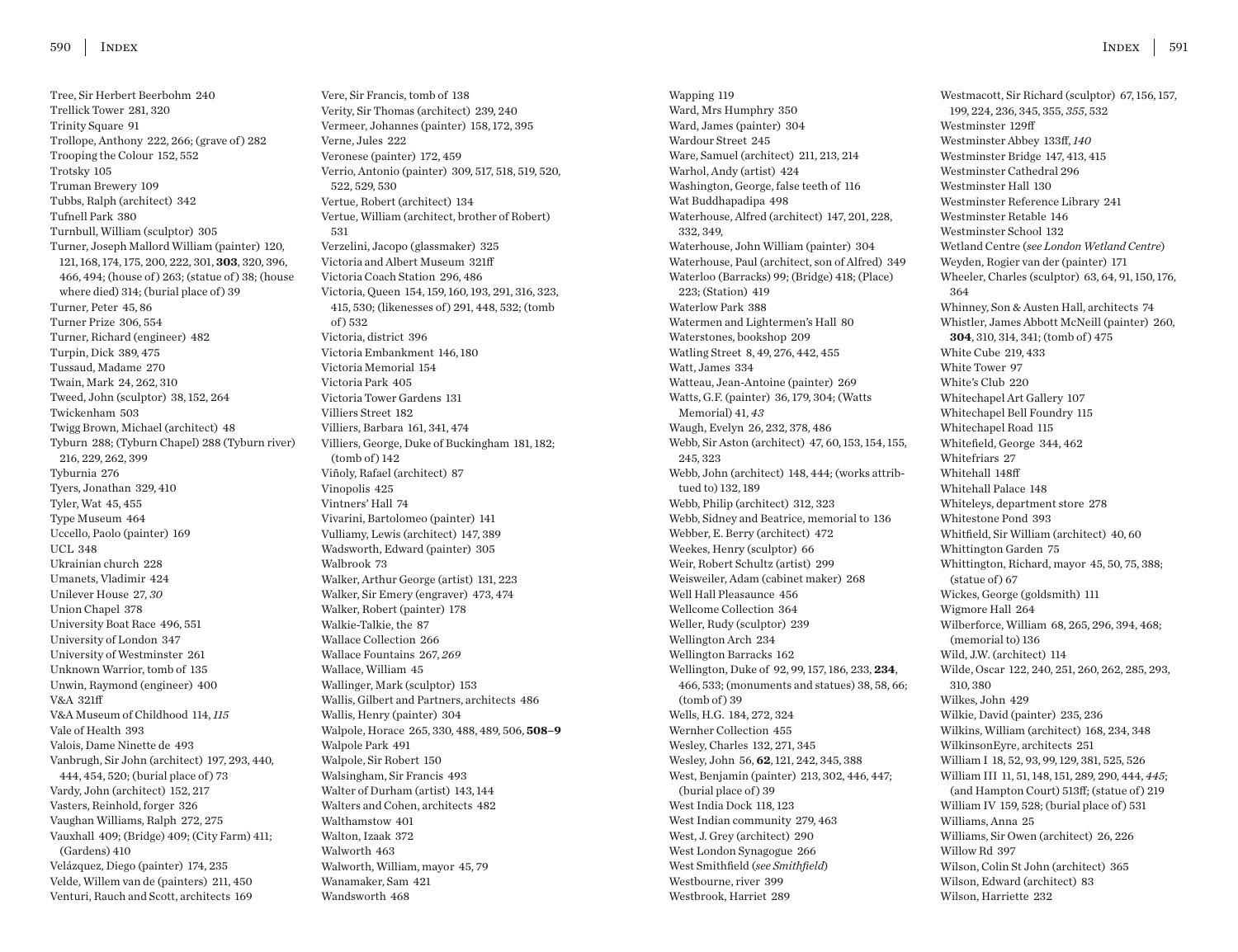Tree, Sir Herbert Beerbohm 240 Trellick Tower 281, 320 Trinity Square 91 Trollope, Anthony 222, 266; (grave of) 282 Trooping the Colour 152, 552 Trotsky 105 Truman Brewery 109 Tubbs, Ralph (architect) 342 Tufnell Park 380 Turnbull, William (sculptor) 305 Turner, Joseph Mallord William (painter) 120, 121, 168, 174, 175, 200, 222, 301, **303**, 320, 396, 466, 494; (house of ) 263; (statue of ) 38; (house where died) 314; (burial place of) 39 Turner, Peter 45, 86 Turner Prize 306, 554 Turner, Richard (engineer) 482 Turpin, Dick 389, 475 Tussaud, Madame 270 Twain, Mark 24, 262, 310 Tweed, John (sculptor) 38, 152, 264 Twickenham 503 Twigg Brown, Michael (architect) 48 Tyburn 288; (Tyburn Chapel) 288 (Tyburn river) 216, 229, 262, 399 Tyburnia 276 Tyers, Jonathan 329, 410 Tyler, Wat 45, 455 Type Museum 464 Uccello, Paolo (painter) 169 UCL 348 Ukrainian church 228 Umanets, Vladimir 424 Unilever House 27, *30* Union Chapel 378 University Boat Race 496, 551 University of London 347 University of Westminster 261 Unknown Warrior, tomb of 135 Unwin, Raymond (engineer) 400 V&A 321ff V&A Museum of Childhood 114, *115* Vale of Health 393 Valois, Dame Ninette de 493 Vanbrugh, Sir John (architect) 197, 293, 440, 444, 454, 520; (burial place of ) 73 Vardy, John (architect) 152, 217 Vasters, Reinhold, forger 326 Vaughan Williams, Ralph 272, 275 Vauxhall 409; (Bridge) 409; (City Farm) 411; (Gardens) 410 Velázquez, Diego (painter) 174, 235 Velde, Willem van de (painters) 211, 450 Venturi, Rauch and Scott, architects 169

Vere, Sir Francis, tomb of 138 Verity, Sir Thomas (architect) 239, 240 Vermeer, Johannes (painter) 158, 172, 395 Verne, Jules 222 Veronese (painter) 172, 459 Verrio, Antonio (painter) 309, 517, 518, 519, 520, 522, 529, 530 Vertue, Robert (architect) 134 Vertue, William (architect, brother of Robert) 531 Verzelini, Jacopo (glassmaker) 325 Victoria and Albert Museum 321ff Victoria Coach Station 296, 486 Victoria, Queen 154, 159, 160, 193, 291, 316, 323, 415, 530; (likenesses of ) 291, 448, 532; (tomb of ) 532 Victoria, district 396 Victoria Embankment 146, 180 Victoria Memorial 154 Victoria Park 405 Victoria Tower Gardens 131 Villiers Street 182 Villiers, Barbara 161, 341, 474 Villiers, George, Duke of Buckingham 181, 182;  $(tomb of) 142$ Viñoly, Rafael (architect) 87 Vinopolis 425 Vintners' Hall 74 Vivarini, Bartolomeo (painter) 141 Vulliamy, Lewis (architect) 147, 389 Wadsworth, Edward (painter) 305 Walbrook 73 Walker, Arthur George (artist) 131, 223 Walker, Sir Emery (engraver) 473, 474 Walker, Robert (painter) 178 Walkie-Talkie, the 87 Wallace Collection 266 Wallace Fountains 267, *269* Wallace, William 45 Wallinger, Mark (sculptor) 153 Wallis, Gilbert and Partners, architects 486 Wallis, Henry (painter) 304 Walpole, Horace 265, 330, 488, 489, 506, **508–9** Walpole Park 491 Walpole, Sir Robert 150 Walsingham, Sir Francis 493 Walter of Durham (artist) 143, 144 Walters and Cohen, architects 482 Walthamstow 401 Walton, Izaak 372 Walworth 463 Walworth, William, mayor 45, 79 Wanamaker, Sam 421 Wandsworth 468

Wapping 119 Ward, Mrs Humphry 350 Ward, James (painter) 304 Wardour Street 245 Ware, Samuel (architect) 211, 213, 214 Warhol, Andy (artist) 424 Washington, George, false teeth of 116 Wat Buddhapadipa 498 Waterhouse, Alfred (architect) 147, 201, 228, 332, 349, Waterhouse, John William (painter) 304 Waterhouse, Paul (architect, son of Alfred) 349 Waterloo (Barracks) 99; (Bridge) 418; (Place) 223; (Station) 419 Waterlow Park 388 Watermen and Lightermen's Hall 80 Waterstones, bookshop 209 Watling Street 8, 49, 276, 442, 455 Watt, James 334 Watteau, Jean-Antoine (painter) 269 Watts, G.F. (painter) 36, 179, 304; (Watts Memorial) 41, *43* Waugh, Evelyn 26, 232, 378, 486 Webb, Sir Aston (architect) 47, 60, 153, 154, 155, 245, 323 Webb, John (architect) 148, 444; (works attribtued to) 132, 189 Webb, Philip (architect) 312, 323 Webb, Sidney and Beatrice, memorial to 136 Webber, E. Berry (architect) 472 Weekes, Henry (sculptor) 66 Weir, Robert Schultz (artist) 299 Weisweiler, Adam (cabinet maker) 268 Well Hall Pleasaunce 456 Wellcome Collection 364 Weller, Rudy (sculptor) 239 Wellington Arch 234 Wellington Barracks 162 Wellington, Duke of 92, 99, 157, 186, 233, **234**, 466, 533; (monuments and statues) 38, 58, 66;  $(tomb of)$  39 Wells, H.G. 184, 272, 324 Wernher Collection 455 Wesley, Charles 132, 271, 345 Wesley, John 56, **62**, 121, 242, 345, 388 West, Benjamin (painter) 213, 302, 446, 447; (burial place of) 39 West India Dock 118, 123 West Indian community 279, 463 West, J. Grey (architect) 290 West London Synagogue 266 West Smithfield (*see Smithfield*) Westbourne, river 399 Westbrook, Harriet 289

Westmacott, Sir Richard (sculptor) 67, 156, 157, 199, 224, 236, 345, 355, *355*, 532 Westminster 129ff Westminster Abbey 133ff, *140* Westminster Bridge 147, 413, 415 Westminster Cathedral 296 Westminster Hall 130 Westminster Reference Library 241 Westminster Retable 146 Westminster School 132 Wetland Centre (*see London Wetland Centre*) Weyden, Rogier van der (painter) 171 Wheeler, Charles (sculptor) 63, 64, 91, 150, 176, 364 Whinney, Son & Austen Hall, architects 74 Whistler, James Abbott McNeill (painter) 260, **304**, 310, 314, 341; (tomb of ) 475 White Cube 219, 433 White Tower 97 White's Club 220 Whitechapel Art Gallery 107 Whitechapel Bell Foundry 115 Whitechapel Road 115 Whitefield, George 344, 462 Whitefriars 27 Whitehall 148ff Whitehall Palace 148 Whiteleys, department store 278 Whitestone Pond 393 Whitfield, Sir William (architect) 40, 60 Whittington Garden 75 Whittington, Richard, mayor 45, 50, 75, 388; (statue of) 67 Wickes, George (goldsmith) 111 Wigmore Hall 264 Wilberforce, William 68, 265, 296, 394, 468; (memorial to) 136 Wild, J.W. (architect) 114 Wilde, Oscar 122, 240, 251, 260, 262, 285, 293, 310, 380 Wilkes, John 429 Wilkie, David (painter) 235, 236 Wilkins, William (architect) 168, 234, 348 WilkinsonEyre, architects 251 William I 18, 52, 93, 99, 129, 381, 525, 526 William III 11, 51, 148, 151, 289, 290, 444, *445*; (and Hampton Court) 513ff; (statue of ) 219 William IV 159, 528; (burial place of) 531 Williams, Anna 25 Williams, Sir Owen (architect) 26, 226 Willow Rd 397 Wilson, Colin St John (architect) 365 Wilson, Edward (architect) 83 Wilson, Harriette 232